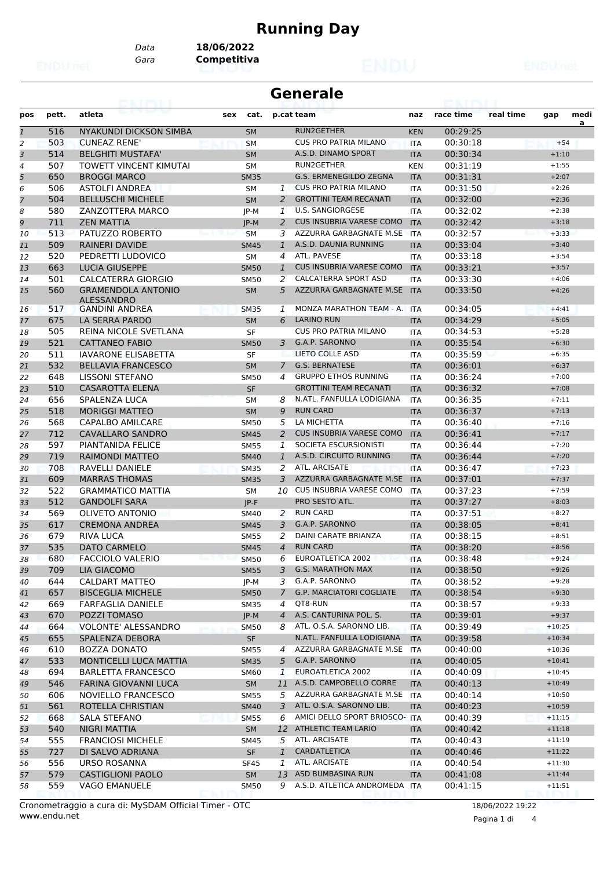## **Running Day**

*Data* **18/06/2022**

*Gara* **Competitiva**

| <b>Generale</b><br>eairtí |       |                               |             |                          |                                 |            |           |           |                      |      |
|---------------------------|-------|-------------------------------|-------------|--------------------------|---------------------------------|------------|-----------|-----------|----------------------|------|
| pos                       | pett. | atleta                        | sex<br>cat. |                          | p.cat team                      | naz        | race time | real time | gap                  | medi |
| $\mathbf{1}$              | 516   | NYAKUNDI DICKSON SIMBA        | <b>SM</b>   |                          | RUN2GETHER                      | <b>KEN</b> | 00:29:25  |           |                      | a    |
| $\overline{2}$            | 503   | <b>CUNEAZ RENE'</b>           | <b>SM</b>   |                          | <b>CUS PRO PATRIA MILANO</b>    | <b>ITA</b> | 00:30:18  |           | $+54$                |      |
| 3                         | 514   | <b>BELGHITI MUSTAFA'</b>      | <b>SM</b>   |                          | A.S.D. DINAMO SPORT             | <b>ITA</b> | 00:30:34  |           | $+1:10$              |      |
| $\overline{4}$            | 507   | <b>TOWETT VINCENT KIMUTAI</b> | <b>SM</b>   |                          | RUN2GETHER                      | <b>KEN</b> | 00:31:19  |           | $+1:55$              |      |
| 5                         | 650   | <b>BROGGI MARCO</b>           | <b>SM35</b> |                          | G.S. ERMENEGILDO ZEGNA          | <b>ITA</b> | 00:31:31  |           | $+2:07$              |      |
| 6                         | 506   | <b>ASTOLFI ANDREA</b>         | SM          | $\mathbf{1}$             | <b>CUS PRO PATRIA MILANO</b>    | <b>ITA</b> | 00:31:50  |           | $+2:26$              |      |
| $\overline{7}$            | 504   | <b>BELLUSCHI MICHELE</b>      | <b>SM</b>   | 2                        | <b>GROTTINI TEAM RECANATI</b>   | <b>ITA</b> | 00:32:00  |           | $+2:36$              |      |
| 8                         | 580   | ZANZOTTERA MARCO              | JP-M        | 1                        | <b>U.S. SANGIORGESE</b>         | <b>ITA</b> | 00:32:02  |           | $+2:38$              |      |
| 9                         | 711   | <b>ZEN MATTIA</b>             | $IP-M$      | $\overline{2}$           | <b>CUS INSUBRIA VARESE COMO</b> | <b>ITA</b> | 00:32:42  |           | $+3:18$              |      |
| 10                        | 513   | PATUZZO ROBERTO               | <b>SM</b>   | 3                        | AZZURRA GARBAGNATE M.SE         | <b>ITA</b> | 00:32:57  |           | $+3:33$              |      |
| 11                        | 509   | <b>RAINERI DAVIDE</b>         | <b>SM45</b> | 1                        | A.S.D. DAUNIA RUNNING           | <b>ITA</b> | 00:33:04  |           | $+3:40$              |      |
| 12                        | 520   | PEDRETTI LUDOVICO             | SМ          | 4                        | ATL. PAVESE                     | <b>ITA</b> | 00:33:18  |           | $+3:54$              |      |
| 13                        | 663   | <b>LUCIA GIUSEPPE</b>         | <b>SM50</b> | $\mathbf{1}$             | <b>CUS INSUBRIA VARESE COMO</b> | <b>ITA</b> | 00:33:21  |           | $+3:57$              |      |
| 14                        | 501   | <b>CALCATERRA GIORGIO</b>     | <b>SM50</b> | 2                        | <b>CALCATERRA SPORT ASD</b>     | <b>ITA</b> | 00:33:30  |           | $+4:06$              |      |
| 15                        | 560   | <b>GRAMENDOLA ANTONIO</b>     | <b>SM</b>   | 5                        | AZZURRA GARBAGNATE M.SE         | <b>ITA</b> | 00:33:50  |           | $+4:26$              |      |
|                           |       | <b>ALESSANDRO</b>             |             |                          |                                 |            |           |           |                      |      |
| 16                        | 517   | <b>GANDINI ANDREA</b>         | <b>SM35</b> | 1                        | MONZA MARATHON TEAM - A.        | <b>ITA</b> | 00:34:05  |           | $+4:41$              |      |
| 17                        | 675   | LA SERRA PARDO                | <b>SM</b>   | 6                        | <b>LARINO RUN</b>               | <b>ITA</b> | 00:34:29  |           | $+5:05$              |      |
| 18                        | 505   | REINA NICOLE SVETLANA         | <b>SF</b>   |                          | <b>CUS PRO PATRIA MILANO</b>    | <b>ITA</b> | 00:34:53  |           | $+5:28$              |      |
| 19                        | 521   | <b>CATTANEO FABIO</b>         | <b>SM50</b> | 3                        | G.A.P. SARONNO                  | <b>ITA</b> | 00:35:54  |           | $+6:30$              |      |
| 20                        | 511   | <b>IAVARONE ELISABETTA</b>    | SF          |                          | LIETO COLLE ASD                 | <b>ITA</b> | 00:35:59  |           | $+6:35$              |      |
| 21                        | 532   | <b>BELLAVIA FRANCESCO</b>     | <b>SM</b>   | $\overline{7}$           | <b>G.S. BERNATESE</b>           | <b>ITA</b> | 00:36:01  |           | $+6:37$              |      |
| 22                        | 648   | <b>LISSONI STEFANO</b>        | <b>SM50</b> | 4                        | <b>GRUPPO ETHOS RUNNING</b>     | <b>ITA</b> | 00:36:24  |           | $+7:00$              |      |
| 23                        | 510   | CASAROTTA ELENA               | <b>SF</b>   |                          | <b>GROTTINI TEAM RECANATI</b>   | <b>ITA</b> | 00:36:32  |           | $+7:08$              |      |
| 24                        | 656   | SPALENZA LUCA                 | <b>SM</b>   | 8                        | N.ATL. FANFULLA LODIGIANA       | <b>ITA</b> | 00:36:35  |           | $+7:11$              |      |
| 25                        | 518   | <b>MORIGGI MATTEO</b>         | <b>SM</b>   | 9                        | <b>RUN CARD</b>                 | <b>ITA</b> | 00:36:37  |           | $+7:13$              |      |
| 26                        | 568   | CAPALBO AMILCARE              | <b>SM50</b> | 5                        | LA MICHETTA                     | <b>ITA</b> | 00:36:40  |           | $+7:16$              |      |
| 27                        | 712   | CAVALLARO SANDRO              | <b>SM45</b> | 2                        | <b>CUS INSUBRIA VARESE COMO</b> | <b>ITA</b> | 00:36:41  |           | $+7:17$              |      |
| 28                        | 597   | <b>PIANTANIDA FELICE</b>      | <b>SM55</b> | 1                        | SOCIETA ESCURSIONISTI           | <b>ITA</b> | 00:36:44  |           | $+7:20$              |      |
| 29                        | 719   | RAIMONDI MATTEO               | <b>SM40</b> | $\mathbf{1}$             | A.S.D. CIRCUITO RUNNING         | <b>ITA</b> | 00:36:44  |           | $+7:20$              |      |
| 30                        | 708   | <b>RAVELLI DANIELE</b>        | <b>SM35</b> | 2                        | ATL. ARCISATE                   | <b>ITA</b> | 00:36:47  |           | $+7:23$              |      |
| 31                        | 609   | <b>MARRAS THOMAS</b>          | <b>SM35</b> | 3                        | AZZURRA GARBAGNATE M.SE         | <b>ITA</b> | 00:37:01  |           | $+7:37$              |      |
| 32                        | 522   | <b>GRAMMATICO MATTIA</b>      | <b>SM</b>   |                          | 10 CUS INSUBRIA VARESE COMO     | <b>ITA</b> | 00:37:23  |           | $+7:59$              |      |
| 33                        | 512   | <b>GANDOLFI SARA</b>          | $IP-F$      |                          | PRO SESTO ATL.                  | <b>ITA</b> | 00:37:27  |           | $+8:03$              |      |
| 34                        | 569   | <b>OLIVETO ANTONIO</b>        | SM40        | 2                        | <b>RUN CARD</b>                 | <b>ITA</b> | 00:37:51  |           | $+8:27$              |      |
| 35                        | 617   | <b>CREMONA ANDREA</b>         | <b>SM45</b> | 3                        | G.A.P. SARONNO                  | <b>ITA</b> | 00:38:05  |           | $+8:41$              |      |
| 36                        | 679   | <b>RIVA LUCA</b>              | <b>SM55</b> | 2                        | DAINI CARATE BRIANZA            | <b>ITA</b> | 00:38:15  |           | $+8:51$              |      |
| 37                        | 535   | <b>DATO CARMELO</b>           | <b>SM45</b> | $\overline{\mathcal{A}}$ | <b>RUN CARD</b>                 | <b>ITA</b> | 00:38:20  |           | $+8:56$              |      |
| 38                        | 680   | <b>FACCIOLO VALERIO</b>       | <b>SM50</b> | 6                        | EUROATLETICA 2002               | <b>ITA</b> | 00:38:48  |           | $+9:24$              |      |
| 39                        | 709   | <b>LIA GIACOMO</b>            | <b>SM55</b> | 3                        | <b>G.S. MARATHON MAX</b>        | <b>ITA</b> | 00:38:50  |           | $+9:26$              |      |
| 40                        | 644   | <b>CALDART MATTEO</b>         | JP-M        | 3                        | G.A.P. SARONNO                  | ITA        | 00:38:52  |           | $+9:28$              |      |
| 41                        | 657   | <b>BISCEGLIA MICHELE</b>      | <b>SM50</b> | 7                        | <b>G.P. MARCIATORI COGLIATE</b> | <b>ITA</b> | 00:38:54  |           | $+9:30$              |      |
| 42                        | 669   | <b>FARFAGLIA DANIELE</b>      | SM35        | 4                        | QT8-RUN                         | ITA        | 00:38:57  |           | $+9:33$              |      |
| 43                        | 670   | POZZI TOMASO                  | JP-M        | $\overline{4}$           | A.S. CANTURINA POL. S.          | <b>ITA</b> | 00:39:01  |           | $+9:37$              |      |
| 44                        | 664   | VOLONTE' ALESSANDRO           | <b>SM50</b> | 8                        | ATL. O.S.A. SARONNO LIB.        | <b>ITA</b> | 00:39:49  |           | $+10:25$             |      |
| 45                        | 655   | SPALENZA DEBORA               | SF          |                          | N.ATL. FANFULLA LODIGIANA       | <b>ITA</b> | 00:39:58  |           | $+10:34$             |      |
| 46                        | 610   | <b>BOZZA DONATO</b>           | SM55        | 4                        | AZZURRA GARBAGNATE M.SE         | ITA        | 00:40:00  |           | $+10:36$             |      |
| 47                        | 533   | MONTICELLI LUCA MATTIA        | <b>SM35</b> | 5                        | G.A.P. SARONNO                  | <b>ITA</b> | 00:40:05  |           | $+10:41$             |      |
| 48                        | 694   | <b>BARLETTA FRANCESCO</b>     | SM60        | $\mathbf{1}$             | EUROATLETICA 2002               | ITA        | 00:40:09  |           | $+10:45$             |      |
| 49                        | 546   | <b>FARINA GIOVANNI LUCA</b>   | <b>SM</b>   | 11                       | A.S.D. CAMPOBELLO CORRE         | <b>ITA</b> | 00:40:13  |           | $+10:49$             |      |
|                           | 606   | NOVIELLO FRANCESCO            |             | 5                        | AZZURRA GARBAGNATE M.SE ITA     |            | 00:40:14  |           |                      |      |
| 50                        | 561   | ROTELLA CHRISTIAN             | <b>SM55</b> | 3                        | ATL. O.S.A. SARONNO LIB.        |            | 00:40:23  |           | $+10:50$<br>$+10:59$ |      |
| 51                        |       |                               | <b>SM40</b> |                          | AMICI DELLO SPORT BRIOSCO- ITA  | <b>ITA</b> |           |           |                      |      |
| 52                        | 668   | <b>SALA STEFANO</b>           | SM55        | 6                        |                                 |            | 00:40:39  |           | $+11:15$             |      |
| 53                        | 540   | NIGRI MATTIA                  | <b>SM</b>   |                          | 12 ATHLETIC TEAM LARIO          | <b>ITA</b> | 00:40:42  |           | $+11:18$             |      |
| 54                        | 555   | <b>FRANCIOSI MICHELE</b>      | SM45        | 5                        | ATL. ARCISATE                   | ITA        | 00:40:43  |           | $+11:19$             |      |
| 55                        | 727   | DI SALVO ADRIANA              | <b>SF</b>   | $\mathbf{1}$             | CARDATLETICA                    | <b>ITA</b> | 00:40:46  |           | $+11:22$             |      |
| 56                        | 556   | URSO ROSANNA                  | <b>SF45</b> | $\mathbf{1}$             | ATL. ARCISATE                   | ITA        | 00:40:54  |           | $+11:30$             |      |
| 57                        | 579   | <b>CASTIGLIONI PAOLO</b>      | <b>SM</b>   | 13                       | ASD BUMBASINA RUN               | <b>ITA</b> | 00:41:08  |           | $+11:44$             |      |
| 58                        | 559   | VAGO EMANUELE                 | <b>SM50</b> | 9                        | A.S.D. ATLETICA ANDROMEDA       | ITA        | 00:41:15  |           | $+11:51$             |      |

Pagina 1 di 4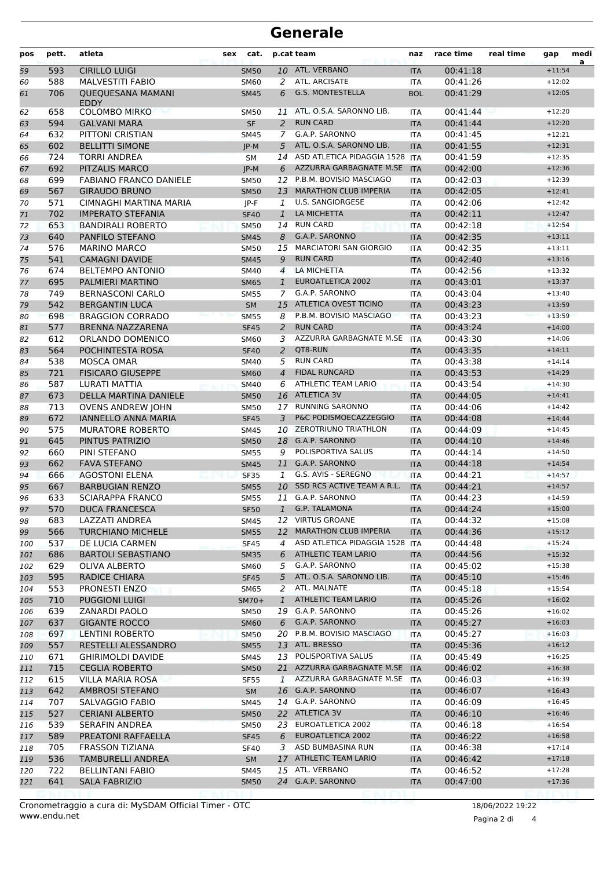## **Generale**

| pos        | pett.      | atleta                                            | sex<br>cat.         |                   | p.cat team                                            | naz                      | race time            | real time | gap                  | medi<br>a |
|------------|------------|---------------------------------------------------|---------------------|-------------------|-------------------------------------------------------|--------------------------|----------------------|-----------|----------------------|-----------|
| 59         | 593        | <b>CIRILLO LUIGI</b>                              | <b>SM50</b>         |                   | 10 ATL. VERBANO                                       | <b>ITA</b>               | 00:41:18             |           | $+11:54$             |           |
| 60         | 588        | <b>MALVESTITI FABIO</b>                           | SM60                | 2                 | ATL. ARCISATE                                         | <b>ITA</b>               | 00:41:26             |           | $+12:02$             |           |
| 61         | 706        | <b>QUEQUESANA MAMANI</b><br>EDDY                  | <b>SM45</b>         | 6                 | <b>G.S. MONTESTELLA</b><br><b>BOL</b>                 |                          | 00:41:29             |           | $+12:05$             |           |
| 62         | 658        | <b>COLOMBO MIRKO</b>                              | <b>SM50</b>         | 11                | ATL. O.S.A. SARONNO LIB.                              | <b>ITA</b>               | 00:41:44             |           | $+12:20$             |           |
| 63         | 594        | <b>GALVANI MARA</b>                               | <b>SF</b>           | $\overline{2}$    | <b>RUN CARD</b>                                       | <b>ITA</b>               | 00:41:44             |           | $+12:20$             |           |
| 64         | 632        | PITTONI CRISTIAN                                  | <b>SM45</b>         | 7                 | G.A.P. SARONNO                                        | <b>ITA</b>               | 00:41:45             |           | $+12:21$             |           |
| 65         | 602        | <b>BELLITTI SIMONE</b>                            | $JP-M$              | 5                 | ATL. O.S.A. SARONNO LIB.                              | <b>ITA</b>               | 00:41:55             |           | $+12:31$             |           |
| 66         | 724        | <b>TORRI ANDREA</b>                               | <b>SM</b>           | 14                | ASD ATLETICA PIDAGGIA 1528                            | <b>ITA</b>               | 00:41:59             |           | $+12:35$             |           |
| 67         | 692        | PITZALIS MARCO                                    | $JP-M$              | 6                 | AZZURRA GARBAGNATE M.SE<br>12 P.B.M. BOVISIO MASCIAGO | <b>ITA</b>               | 00:42:00<br>00:42:03 |           | $+12:36$             |           |
| 68         | 699        | <b>FABIANO FRANCO DANIELE</b>                     | SM50                |                   | <b>MARATHON CLUB IMPERIA</b>                          | <b>ITA</b>               |                      |           | $+12:39$             |           |
| 69         | 567<br>571 | <b>GIRAUDO BRUNO</b><br>CIMNAGHI MARTINA MARIA    | <b>SM50</b>         | 13                | <b>U.S. SANGIORGESE</b>                               | <b>ITA</b>               | 00:42:05<br>00:42:06 |           | $+12:41$<br>$+12:42$ |           |
| 70         | 702        | <b>IMPERATO STEFANIA</b>                          | JP-F<br><b>SF40</b> | 1<br>$\mathbf{1}$ | LA MICHETTA                                           | <b>ITA</b><br><b>ITA</b> | 00:42:11             |           | $+12:47$             |           |
| 71         | 653        | <b>BANDIRALI ROBERTO</b>                          | <b>SM50</b>         |                   | 14 RUN CARD                                           | <b>ITA</b>               | 00:42:18             |           | $+12:54$             |           |
| 72<br>73   | 640        | PANFILO STEFANO                                   | <b>SM45</b>         | 8                 | G.A.P. SARONNO                                        | <b>ITA</b>               | 00:42:35             |           | $+13:11$             |           |
| 74         | 576        | <b>MARINO MARCO</b>                               | SM50                | 15                | <b>MARCIATORI SAN GIORGIO</b>                         | <b>ITA</b>               | 00:42:35             |           | $+13:11$             |           |
| 75         | 541        | <b>CAMAGNI DAVIDE</b>                             | <b>SM45</b>         | 9                 | <b>RUN CARD</b>                                       | <b>ITA</b>               | 00:42:40             |           | $+13:16$             |           |
| 76         | 674        | <b>BELTEMPO ANTONIO</b>                           | SM40                | $\overline{4}$    | LA MICHETTA                                           | <b>ITA</b>               | 00:42:56             |           | $+13:32$             |           |
| 77         | 695        | PALMIERI MARTINO                                  | <b>SM65</b>         | $\mathbf{1}$      | <b>EUROATLETICA 2002</b>                              | <b>ITA</b>               | 00:43:01             |           | $+13:37$             |           |
| 78         | 749        | <b>BERNASCONI CARLO</b>                           | <b>SM55</b>         | $\overline{7}$    | G.A.P. SARONNO                                        | <b>ITA</b>               | 00:43:04             |           | $+13:40$             |           |
| 79         | 542        | <b>BERGANTIN LUCA</b>                             | <b>SM</b>           | 15                | ATLETICA OVEST TICINO                                 | <b>ITA</b>               | 00:43:23             |           | $+13:59$             |           |
| 80         | 698        | <b>BRAGGION CORRADO</b>                           | <b>SM55</b>         | 8                 | P.B.M. BOVISIO MASCIAGO                               | <b>ITA</b>               | 00:43:23             |           | $+13:59$             |           |
| 81         | 577        | <b>BRENNA NAZZARENA</b>                           | <b>SF45</b>         | 2                 | <b>RUN CARD</b>                                       | <b>ITA</b>               | 00:43:24             |           | $+14:00$             |           |
| 82         | 612        | ORLANDO DOMENICO                                  | SM60                | 3                 | AZZURRA GARBAGNATE M.SE                               | <b>ITA</b>               | 00:43:30             |           | $+14:06$             |           |
| 83         | 564        | POCHINTESTA ROSA                                  | <b>SF40</b>         | $\overline{2}$    | QT8-RUN                                               | <b>ITA</b>               | 00:43:35             |           | $+14:11$             |           |
| 84         | 538        | <b>MOSCA OMAR</b>                                 | SM40                | 5                 | <b>RUN CARD</b>                                       | <b>ITA</b>               | 00:43:38             |           | $+14:14$             |           |
| 85         | 721        | <b>FISICARO GIUSEPPE</b>                          | <b>SM60</b>         | $\overline{4}$    | <b>FIDAL RUNCARD</b>                                  | <b>ITA</b>               | 00:43:53             |           | $+14:29$             |           |
| 86         | 587        | LURATI MATTIA                                     | <b>SM40</b>         | 6                 | <b>ATHLETIC TEAM LARIO</b>                            | <b>ITA</b>               | 00:43:54             |           | $+14:30$             |           |
| 87         | 673        | DELLA MARTINA DANIELE                             | <b>SM50</b>         | 16                | <b>ATLETICA 3V</b>                                    | <b>ITA</b>               | 00:44:05             |           | $+14:41$             |           |
| 88         | 713        | <b>OVENS ANDREW JOHN</b>                          | SM50                | 17                | <b>RUNNING SARONNO</b>                                | <b>ITA</b>               | 00:44:06             |           | $+14:42$             |           |
| 89         | 672        | <b>IANNELLO ANNA MARIA</b>                        | <b>SF45</b>         | 3                 | P&C PODISMOECAZZEGGIO                                 | <b>ITA</b>               | 00:44:08             |           | $+14:44$             |           |
| 90         | 575        | <b>MURATORE ROBERTO</b>                           | <b>SM45</b>         | 10                | <b>ZEROTRIUNO TRIATHLON</b>                           | <b>ITA</b>               | 00:44:09             |           | $+14:45$             |           |
| 91         | 645        | PINTUS PATRIZIO                                   | <b>SM50</b>         |                   | 18 G.A.P. SARONNO                                     | <b>ITA</b>               | 00:44:10             |           | $+14:46$             |           |
| 92         | 660        | PINI STEFANO                                      | <b>SM55</b>         | 9                 | POLISPORTIVA SALUS                                    | <b>ITA</b>               | 00:44:14             |           | $+14:50$             |           |
| 93         | 662        | <b>FAVA STEFANO</b>                               | <b>SM45</b>         | 11                | G.A.P. SARONNO                                        | <b>ITA</b>               | 00:44:18             |           | $+14:54$             |           |
| 94         | 666        | <b>AGOSTONI ELENA</b>                             | <b>SF35</b>         | 1                 | G.S. AVIS - SEREGNO                                   | <b>ITA</b>               | 00:44:21             |           | $+14:57$             |           |
| 95         | 667        | <b>BARBUGIAN RENZO</b>                            | <b>SM55</b>         | 10                | SSD RCS ACTIVE TEAM A R.L.                            | <b>ITA</b>               | 00:44:21             |           | $+14:57$             |           |
| 96         | 633        | <b>SCIARAPPA FRANCO</b>                           | <b>SM55</b>         |                   | 11 G.A.P. SARONNO                                     | <b>ITA</b>               | 00:44:23             |           | $+14:59$             |           |
| 97         | 570        | <b>DUCA FRANCESCA</b>                             | SF50                |                   | 1 G.P. TALAMONA                                       | <b>ITA</b>               | 00:44:24             |           | $+15:00$             |           |
| 98         | 683        | LAZZATI ANDREA                                    | SM45                |                   | 12 VIRTUS GROANE                                      | ITA                      | 00:44:32             |           | $+15:08$             |           |
| 99         | 566        | <b>TURCHIANO MICHELE</b>                          | <b>SM55</b>         | 12                | <b>MARATHON CLUB IMPERIA</b>                          | <b>ITA</b>               | 00:44:36             |           | $+15:12$             |           |
| 100        | 537        | DE LUCIA CARMEN                                   | <b>SF45</b>         | 4                 | ASD ATLETICA PIDAGGIA 1528                            | <b>ITA</b>               | 00:44:48             |           | $+15:24$             |           |
| 101        | 686        | <b>BARTOLI SEBASTIANO</b>                         | <b>SM35</b>         | 6                 | <b>ATHLETIC TEAM LARIO</b>                            | <b>ITA</b>               | 00:44:56             |           | $+15:32$             |           |
| 102        | 629        | OLIVA ALBERTO                                     | <b>SM60</b>         | 5                 | G.A.P. SARONNO                                        | ITA                      | 00:45:02             |           | $+15:38$             |           |
| 103        | 595        | <b>RADICE CHIARA</b>                              | <b>SF45</b>         | 5                 | ATL. O.S.A. SARONNO LIB.                              | <b>ITA</b>               | 00:45:10             |           | $+15:46$             |           |
| 104        | 553        | PRONESTI ENZO                                     | <b>SM65</b>         | 2                 | ATL. MALNATE                                          | <b>ITA</b>               | 00:45:18             |           | $+15:54$             |           |
| 105        | 710        | <b>PUGGIONI LUIGI</b>                             | $SM70+$             | $\mathbf{1}$      | ATHLETIC TEAM LARIO                                   | <b>ITA</b>               | 00:45:26             |           | $+16:02$             |           |
| 106        | 639        | <b>ZANARDI PAOLO</b>                              | SM50                | 19                | G.A.P. SARONNO                                        | ITA                      | 00:45:26             |           | $+16:02$             |           |
| 107        | 637        | <b>GIGANTE ROCCO</b>                              | <b>SM60</b>         | 6                 | G.A.P. SARONNO<br>20 P.B.M. BOVISIO MASCIAGO          | <b>ITA</b>               | 00:45:27             |           | $+16:03$             |           |
| 108        | 697        | <b>LENTINI ROBERTO</b>                            | <b>SM50</b>         |                   |                                                       | <b>ITA</b>               | 00:45:27             |           | $+16:03$<br>$+16:12$ |           |
| 109        | 557        | RESTELLI ALESSANDRO                               | <b>SM55</b>         |                   | 13 ATL. BRESSO<br>13 POLISPORTIVA SALUS               | <b>ITA</b>               | 00:45:36             |           | $+16:25$             |           |
| 110        | 671<br>715 | <b>GHIRIMOLDI DAVIDE</b><br><b>CEGLIA ROBERTO</b> | SM45<br><b>SM50</b> |                   | 21 AZZURRA GARBAGNATE M.SE                            | ITA<br><b>ITA</b>        | 00:45:49<br>00:46:02 |           | $+16:38$             |           |
| 111        | 615        | <b>VILLA MARIA ROSA</b>                           |                     | $\mathbf{1}$      | AZZURRA GARBAGNATE M.SE                               | <b>ITA</b>               | 00:46:03             |           | $+16:39$             |           |
| 112<br>113 | 642        | <b>AMBROSI STEFANO</b>                            | SF55<br><b>SM</b>   |                   | 16 G.A.P. SARONNO                                     | <b>ITA</b>               | 00:46:07             |           | $+16:43$             |           |
| 114        | 707        | SALVAGGIO FABIO                                   | SM45                |                   | 14 G.A.P. SARONNO                                     | ITA                      | 00:46:09             |           | $+16:45$             |           |
| 115        | 527        | <b>CERIANI ALBERTO</b>                            | <b>SM50</b>         |                   | 22 ATLETICA 3V                                        | <b>ITA</b>               | 00:46:10             |           | $+16:46$             |           |
| 116        | 539        | SERAFIN ANDREA                                    | <b>SM50</b>         |                   | 23 EUROATLETICA 2002                                  | <b>ITA</b>               | 00:46:18             |           | $+16:54$             |           |
| 117        | 589        | PREATONI RAFFAELLA                                | <b>SF45</b>         | 6                 | EUROATLETICA 2002                                     | <b>ITA</b>               | 00:46:22             |           | $+16:58$             |           |
| 118        | 705        | <b>FRASSON TIZIANA</b>                            | <b>SF40</b>         | 3                 | ASD BUMBASINA RUN                                     | ITA                      | 00:46:38             |           | $+17:14$             |           |
| 119        | 536        | TAMBURELLI ANDREA                                 | SM                  | 17                | ATHLETIC TEAM LARIO                                   | <b>ITA</b>               | 00:46:42             |           | $+17:18$             |           |
| 120        | 722        | <b>BELLINTANI FABIO</b>                           | SM45                |                   | 15 ATL. VERBANO                                       | <b>ITA</b>               | 00:46:52             |           | $+17:28$             |           |
| 121        | 641        | <b>SALA FABRIZIO</b>                              | <b>SM50</b>         |                   | 24 G.A.P. SARONNO                                     | <b>ITA</b>               | 00:47:00             |           | $+17:36$             |           |
|            |            |                                                   |                     |                   |                                                       |                          |                      |           |                      |           |

Pagina 2 di 4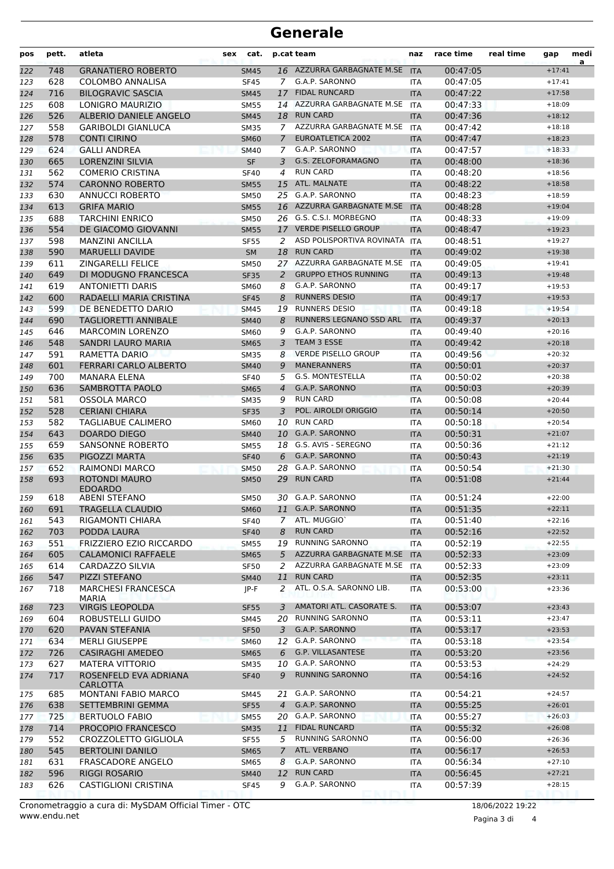## **Generale**

| 16 AZZURRA GARBAGNATE M.SE<br>00:47:05<br>748<br><b>GRANATIERO ROBERTO</b><br><b>ITA</b><br>$+17:41$<br>122<br><b>SM45</b><br>G.A.P. SARONNO<br>628<br><b>COLOMBO ANNALISA</b><br><b>SF45</b><br>7<br>00:47:05<br>123<br><b>ITA</b><br>$+17:41$<br>716<br><b>BILOGRAVIC SASCIA</b><br><b>FIDAL RUNCARD</b><br><b>SM45</b><br>17<br><b>ITA</b><br>00:47:22<br>124<br>$+17:58$<br>14 AZZURRA GARBAGNATE M.SE<br>608<br>LONIGRO MAURIZIO<br>00:47:33<br>$+18:09$<br>125<br><b>SM55</b><br><b>ITA</b><br><b>RUN CARD</b><br>526<br>ALBERIO DANIELE ANGELO<br><b>SM45</b><br>00:47:36<br>126<br>18<br><b>ITA</b><br>$+18:12$<br>AZZURRA GARBAGNATE M.SE<br>558<br><b>GARIBOLDI GIANLUCA</b><br><b>SM35</b><br><b>ITA</b><br>00:47:42<br>127<br>$+18:18$<br>7<br><b>EUROATLETICA 2002</b><br><b>CONTI CIRINO</b><br>578<br>00:47:47<br>$+18:23$<br>128<br><b>SM60</b><br>7<br><b>ITA</b><br>G.A.P. SARONNO<br>624<br><b>GALLI ANDREA</b><br><b>SM40</b><br>00:47:57<br>129<br>7<br><b>ITA</b><br>$+18:33$<br><b>LORENZINI SILVIA</b><br><b>SF</b><br>G.S. ZELOFORAMAGNO<br>665<br>00:48:00<br>130<br>3<br><b>ITA</b><br>$+18:36$<br><b>RUN CARD</b><br>$+18:56$<br>562<br><b>COMERIO CRISTINA</b><br>00:48:20<br>131<br><b>SF40</b><br>4<br><b>ITA</b><br>574<br>ATL. MALNATE<br>00:48:22<br>132<br><b>CARONNO ROBERTO</b><br>15<br>$+18:58$<br><b>SM55</b><br><b>ITA</b><br>25 G.A.P. SARONNO<br>630<br>ANNUCCI ROBERTO<br><b>SM50</b><br>00:48:23<br>$+18:59$<br>133<br><b>ITA</b><br>16 AZZURRA GARBAGNATE M.SE<br>613<br><b>GRIFA MARIO</b><br><b>ITA</b><br>00:48:28<br>$+19:04$<br>134<br><b>SM55</b><br>688<br>26 G.S. C.S.I. MORBEGNO<br><b>TARCHINI ENRICO</b><br><b>SM50</b><br>00:48:33<br>135<br><b>ITA</b><br>$+19:09$<br>554<br><b>VERDE PISELLO GROUP</b><br>DE GIACOMO GIOVANNI<br>17<br>00:48:47<br><b>SM55</b><br>136<br><b>ITA</b><br>$+19:23$<br>ASD POLISPORTIVA ROVINATA<br>598<br><b>MANZINI ANCILLA</b><br>00:48:51<br>$+19:27$<br>137<br><b>SF55</b><br>2<br><b>ITA</b><br><b>RUN CARD</b><br>590<br><b>MARUELLI DAVIDE</b><br><b>SM</b><br>00:49:02<br>138<br>18<br><b>ITA</b><br>$+19:38$<br>27 AZZURRA GARBAGNATE M.SE<br>611<br><b>ZINGARELLI FELICE</b><br>00:49:05<br>SM50<br><b>ITA</b><br>$+19:41$<br>139<br><b>GRUPPO ETHOS RUNNING</b><br>649<br>DI MODUGNO FRANCESCA<br>00:49:13<br>140<br><b>SF35</b><br>2<br><b>ITA</b><br>$+19:48$<br>G.A.P. SARONNO<br>619<br><b>ANTONIETTI DARIS</b><br>SM60<br>00:49:17<br>8<br><b>ITA</b><br>$+19:53$<br>141<br><b>RUNNERS DESIO</b><br>600<br>RADAELLI MARIA CRISTINA<br>8<br>00:49:17<br><b>SF45</b><br>$+19:53$<br><b>ITA</b><br>142<br><b>RUNNERS DESIO</b><br>599<br>DE BENEDETTO DARIO<br>00:49:18<br>$+19:54$<br>143<br><b>SM45</b><br>19<br><b>ITA</b><br>RUNNERS LEGNANO SSD ARL<br>144<br>690<br><b>TAGLIORETTI ANNIBALE</b><br><b>ITA</b><br>00:49:37<br>$+20:13$<br><b>SM40</b><br>8<br>G.A.P. SARONNO<br>646<br><b>MARCOMIN LORENZO</b><br>00:49:40<br>$+20:16$<br>SM60<br>9<br>145<br><b>ITA</b><br>TEAM 3 ESSE<br>548<br>SANDRI LAURO MARIA<br>00:49:42<br>$+20:18$<br>146<br><b>SM65</b><br>3<br><b>ITA</b><br><b>VERDE PISELLO GROUP</b><br>591<br>RAMETTA DARIO<br>00:49:56<br>147<br><b>SM35</b><br>8<br><b>ITA</b><br>$+20:32$<br><b>MANERANNERS</b><br>601<br>FERRARI CARLO ALBERTO<br>9<br>00:50:01<br><b>SM40</b><br><b>ITA</b><br>$+20:37$<br>148<br><b>G.S. MONTESTELLA</b><br>700<br>MANARA ELENA<br>00:50:02<br>$+20:38$<br>149<br><b>SF40</b><br>5<br><b>ITA</b><br>G.A.P. SARONNO<br>636<br>SAMBROTTA PAOLO<br>00:50:03<br>150<br><b>SM65</b><br>4<br><b>ITA</b><br>$+20:39$<br><b>RUN CARD</b><br>581<br>OSSOLA MARCO<br>00:50:08<br>9<br>$+20:44$<br>151<br><b>SM35</b><br><b>ITA</b><br>POL. AIROLDI ORIGGIO<br>528<br><b>CERIANI CHIARA</b><br><b>SF35</b><br>3<br>00:50:14<br>152<br><b>ITA</b><br>$+20:50$<br><b>RUN CARD</b><br>582<br>TAGLIABUE CALIMERO<br>SM60<br>10<br><b>ITA</b><br>00:50:18<br>153<br>$+20:54$<br>643<br><b>G.A.P. SARONNO</b><br>DOARDO DIEGO<br>00:50:31<br>10<br>$+21:07$<br>154<br><b>SM40</b><br><b>ITA</b><br>G.S. AVIS - SEREGNO<br>659<br>SANSONNE ROBERTO<br>00:50:36<br>155<br><b>SM55</b><br>18<br><b>ITA</b><br>$+21:12$<br>G.A.P. SARONNO<br>635<br>PIGOZZI MARTA<br><b>SF40</b><br>00:50:43<br>$+21:19$<br>156<br>6<br><b>ITA</b><br>G.A.P. SARONNO<br>652<br><b>RAIMONDI MARCO</b><br>$+21:30$<br><b>SM50</b><br>28<br><b>ITA</b><br>00:50:54<br>157<br><b>RUN CARD</b><br>ROTONDI MAURO<br>693<br>29<br>00:51:08<br>158<br><b>SM50</b><br><b>ITA</b><br>$+21:44$<br><b>EDOARDO</b><br>30 G.A.P. SARONNO<br>618<br>00:51:24<br>159<br>ABENI STEFANO<br><b>SM50</b><br><b>ITA</b><br>$+22:00$<br>11 G.A.P. SARONNO<br>00:51:35<br>TRAGELLA CLAUDIO<br>691<br>160<br>SM60<br><b>IIA</b><br>$+22:11$<br>ATL. MUGGIO'<br>543<br>RIGAMONTI CHIARA<br>00:51:40<br>$+22:16$<br><b>SF40</b><br>$7^{\circ}$<br><b>ITA</b><br>161<br><b>RUN CARD</b><br>703<br>PODDA LAURA<br>8<br>00:52:16<br>$+22:52$<br>162<br><b>SF40</b><br><b>ITA</b><br><b>RUNNING SARONNO</b><br>551<br>FRIZZIERO EZIO RICCARDO<br>19<br>00:52:19<br>$+22:55$<br>163<br><b>SM55</b><br>ITA<br>AZZURRA GARBAGNATE M.SE<br>$+23:09$<br>605<br><b>CALAMONICI RAFFAELE</b><br><b>SM65</b><br>5<br><b>ITA</b><br>00:52:33<br>164<br>AZZURRA GARBAGNATE M.SE ITA<br>614<br>CARDAZZO SILVIA<br>00:52:33<br>$+23:09$<br><b>SF50</b><br>2<br>165<br>547<br><b>RUN CARD</b><br>PIZZI STEFANO<br>11<br>00:52:35<br>$+23:11$<br><b>SM40</b><br><b>ITA</b><br>166<br>ATL. O.S.A. SARONNO LIB.<br>718<br><b>MARCHESI FRANCESCA</b><br>$+23:36$<br>2<br>00:53:00<br>JP-F<br>ITA<br>167<br><b>MARIA</b><br>AMATORI ATL. CASORATE S.<br><b>VIRGIS LEOPOLDA</b><br>00:53:07<br>$+23:43$<br>723<br>3<br><b>ITA</b><br>168<br><b>SF55</b><br><b>RUNNING SARONNO</b><br>604<br>ROBUSTELLI GUIDO<br>00:53:11<br>169<br>SM45<br>20<br>ITA<br>$+23:47$<br>G.A.P. SARONNO<br>620<br>PAVAN STEFANIA<br>00:53:17<br>$+23:53$<br>170<br><b>SF50</b><br>3<br><b>ITA</b><br>G.A.P. SARONNO<br>$+23:54$<br>634<br><b>MERLI GIUSEPPE</b><br><b>SM60</b><br>00:53:18<br>12<br>ITA<br>171<br>G.P. VILLASANTESE<br>726<br><b>CASIRAGHI AMEDEO</b><br>6<br>00:53:20<br>$+23:56$<br>172<br><b>SM65</b><br><b>ITA</b><br>10 G.A.P. SARONNO<br>627<br>MATERA VITTORIO<br>00:53:53<br>$+24:29$<br><b>SM35</b><br>173<br><b>ITA</b><br><b>RUNNING SARONNO</b><br>717<br>ROSENFELD EVA ADRIANA<br>9<br>00:54:16<br>$+24:52$<br><b>SF40</b><br><b>ITA</b><br>174<br>CARLOTTA<br>G.A.P. SARONNO<br>685<br><b>MONTANI FABIO MARCO</b><br>00:54:21<br>$+24:57$<br>21<br>175<br>SM45<br>ITA<br>G.A.P. SARONNO<br>638<br><b>SETTEMBRINI GEMMA</b><br>00:55:25<br>176<br><b>SF55</b><br>$\overline{4}$<br><b>ITA</b><br>$+26:01$<br>20 G.A.P. SARONNO<br>725<br><b>BERTUOLO FABIO</b><br>00:55:27<br>$+26:03$<br>177<br><b>SM55</b><br><b>ITA</b><br><b>FIDAL RUNCARD</b><br>$+26:08$<br>714<br><b>PROCOPIO FRANCESCO</b><br>11<br>00:55:32<br>178<br><b>SM35</b><br><b>ITA</b><br>552<br><b>RUNNING SARONNO</b><br>CROZZOLETTO GIGLIOLA<br>00:56:00<br>$+26:36$<br>179<br><b>SF55</b><br>5<br><b>ITA</b><br>ATL. VERBANO<br>545<br><b>BERTOLINI DANILO</b><br>$7^{\circ}$<br>00:56:17<br>$+26:53$<br><b>SM65</b><br>180<br><b>ITA</b><br>G.A.P. SARONNO<br>631<br><b>FRASCADORE ANGELO</b><br>$+27:10$<br><b>SM65</b><br>00:56:34<br>8<br>ITA<br>181<br><b>RUN CARD</b><br><b>RIGGI ROSARIO</b><br>596<br>12<br>00:56:45<br>$+27:21$<br>182<br><b>SM40</b><br><b>ITA</b><br>G.A.P. SARONNO<br>626<br><b>CASTIGLIONI CRISTINA</b><br>00:57:39<br>9<br>$+28:15$<br>183<br><b>SF45</b><br>ITA | pos | pett. | atleta | cat.<br>sex | p.cat team | naz | race time | real time | gap | medi<br>a |
|--------------------------------------------------------------------------------------------------------------------------------------------------------------------------------------------------------------------------------------------------------------------------------------------------------------------------------------------------------------------------------------------------------------------------------------------------------------------------------------------------------------------------------------------------------------------------------------------------------------------------------------------------------------------------------------------------------------------------------------------------------------------------------------------------------------------------------------------------------------------------------------------------------------------------------------------------------------------------------------------------------------------------------------------------------------------------------------------------------------------------------------------------------------------------------------------------------------------------------------------------------------------------------------------------------------------------------------------------------------------------------------------------------------------------------------------------------------------------------------------------------------------------------------------------------------------------------------------------------------------------------------------------------------------------------------------------------------------------------------------------------------------------------------------------------------------------------------------------------------------------------------------------------------------------------------------------------------------------------------------------------------------------------------------------------------------------------------------------------------------------------------------------------------------------------------------------------------------------------------------------------------------------------------------------------------------------------------------------------------------------------------------------------------------------------------------------------------------------------------------------------------------------------------------------------------------------------------------------------------------------------------------------------------------------------------------------------------------------------------------------------------------------------------------------------------------------------------------------------------------------------------------------------------------------------------------------------------------------------------------------------------------------------------------------------------------------------------------------------------------------------------------------------------------------------------------------------------------------------------------------------------------------------------------------------------------------------------------------------------------------------------------------------------------------------------------------------------------------------------------------------------------------------------------------------------------------------------------------------------------------------------------------------------------------------------------------------------------------------------------------------------------------------------------------------------------------------------------------------------------------------------------------------------------------------------------------------------------------------------------------------------------------------------------------------------------------------------------------------------------------------------------------------------------------------------------------------------------------------------------------------------------------------------------------------------------------------------------------------------------------------------------------------------------------------------------------------------------------------------------------------------------------------------------------------------------------------------------------------------------------------------------------------------------------------------------------------------------------------------------------------------------------------------------------------------------------------------------------------------------------------------------------------------------------------------------------------------------------------------------------------------------------------------------------------------------------------------------------------------------------------------------------------------------------------------------------------------------------------------------------------------------------------------------------------------------------------------------------------------------------------------------------------------------------------------------------------------------------------------------------------------------------------------------------------------------------------------------------------------------------------------------------------------------------------------------------------------------------------------------------------------------------------------------------------------------------------------------------------------------------------------------------------------------------------------------------------------------------------------------------------------------------------------------------------------------------------------------------------------------------------------------------------------------------------------------------------------------------------------------------------------------------------------------------------------------------------------------------------------------------------------------------------------------------------------------------------------------------------------------------------------------------------------------------------------------------------------------------------------------------------------------------------------------------------------------------------------------------------------------------------------------------------------------------------------------------------------------------------------------------------------------------------------------------------------------------------------------------------------------------------------------------------------------------------------------------------------------------------------------------------------------------------------------------------------------------------------------------------------------------------------------------------------------------------------------------------------------------------------------------------------------------------------------------------------------------------------------------------------------------------------------------------------------------------|-----|-------|--------|-------------|------------|-----|-----------|-----------|-----|-----------|
|                                                                                                                                                                                                                                                                                                                                                                                                                                                                                                                                                                                                                                                                                                                                                                                                                                                                                                                                                                                                                                                                                                                                                                                                                                                                                                                                                                                                                                                                                                                                                                                                                                                                                                                                                                                                                                                                                                                                                                                                                                                                                                                                                                                                                                                                                                                                                                                                                                                                                                                                                                                                                                                                                                                                                                                                                                                                                                                                                                                                                                                                                                                                                                                                                                                                                                                                                                                                                                                                                                                                                                                                                                                                                                                                                                                                                                                                                                                                                                                                                                                                                                                                                                                                                                                                                                                                                                                                                                                                                                                                                                                                                                                                                                                                                                                                                                                                                                                                                                                                                                                                                                                                                                                                                                                                                                                                                                                                                                                                                                                                                                                                                                                                                                                                                                                                                                                                                                                                                                                                                                                                                                                                                                                                                                                                                                                                                                                                                                                                                                                                                                                                                                                                                                                                                                                                                                                                                                                                                                                                                                                                                                                                                                                                                                                                                                                                                                                                                                                                                                                                                        |     |       |        |             |            |     |           |           |     |           |
|                                                                                                                                                                                                                                                                                                                                                                                                                                                                                                                                                                                                                                                                                                                                                                                                                                                                                                                                                                                                                                                                                                                                                                                                                                                                                                                                                                                                                                                                                                                                                                                                                                                                                                                                                                                                                                                                                                                                                                                                                                                                                                                                                                                                                                                                                                                                                                                                                                                                                                                                                                                                                                                                                                                                                                                                                                                                                                                                                                                                                                                                                                                                                                                                                                                                                                                                                                                                                                                                                                                                                                                                                                                                                                                                                                                                                                                                                                                                                                                                                                                                                                                                                                                                                                                                                                                                                                                                                                                                                                                                                                                                                                                                                                                                                                                                                                                                                                                                                                                                                                                                                                                                                                                                                                                                                                                                                                                                                                                                                                                                                                                                                                                                                                                                                                                                                                                                                                                                                                                                                                                                                                                                                                                                                                                                                                                                                                                                                                                                                                                                                                                                                                                                                                                                                                                                                                                                                                                                                                                                                                                                                                                                                                                                                                                                                                                                                                                                                                                                                                                                                        |     |       |        |             |            |     |           |           |     |           |
|                                                                                                                                                                                                                                                                                                                                                                                                                                                                                                                                                                                                                                                                                                                                                                                                                                                                                                                                                                                                                                                                                                                                                                                                                                                                                                                                                                                                                                                                                                                                                                                                                                                                                                                                                                                                                                                                                                                                                                                                                                                                                                                                                                                                                                                                                                                                                                                                                                                                                                                                                                                                                                                                                                                                                                                                                                                                                                                                                                                                                                                                                                                                                                                                                                                                                                                                                                                                                                                                                                                                                                                                                                                                                                                                                                                                                                                                                                                                                                                                                                                                                                                                                                                                                                                                                                                                                                                                                                                                                                                                                                                                                                                                                                                                                                                                                                                                                                                                                                                                                                                                                                                                                                                                                                                                                                                                                                                                                                                                                                                                                                                                                                                                                                                                                                                                                                                                                                                                                                                                                                                                                                                                                                                                                                                                                                                                                                                                                                                                                                                                                                                                                                                                                                                                                                                                                                                                                                                                                                                                                                                                                                                                                                                                                                                                                                                                                                                                                                                                                                                                                        |     |       |        |             |            |     |           |           |     |           |
|                                                                                                                                                                                                                                                                                                                                                                                                                                                                                                                                                                                                                                                                                                                                                                                                                                                                                                                                                                                                                                                                                                                                                                                                                                                                                                                                                                                                                                                                                                                                                                                                                                                                                                                                                                                                                                                                                                                                                                                                                                                                                                                                                                                                                                                                                                                                                                                                                                                                                                                                                                                                                                                                                                                                                                                                                                                                                                                                                                                                                                                                                                                                                                                                                                                                                                                                                                                                                                                                                                                                                                                                                                                                                                                                                                                                                                                                                                                                                                                                                                                                                                                                                                                                                                                                                                                                                                                                                                                                                                                                                                                                                                                                                                                                                                                                                                                                                                                                                                                                                                                                                                                                                                                                                                                                                                                                                                                                                                                                                                                                                                                                                                                                                                                                                                                                                                                                                                                                                                                                                                                                                                                                                                                                                                                                                                                                                                                                                                                                                                                                                                                                                                                                                                                                                                                                                                                                                                                                                                                                                                                                                                                                                                                                                                                                                                                                                                                                                                                                                                                                                        |     |       |        |             |            |     |           |           |     |           |
|                                                                                                                                                                                                                                                                                                                                                                                                                                                                                                                                                                                                                                                                                                                                                                                                                                                                                                                                                                                                                                                                                                                                                                                                                                                                                                                                                                                                                                                                                                                                                                                                                                                                                                                                                                                                                                                                                                                                                                                                                                                                                                                                                                                                                                                                                                                                                                                                                                                                                                                                                                                                                                                                                                                                                                                                                                                                                                                                                                                                                                                                                                                                                                                                                                                                                                                                                                                                                                                                                                                                                                                                                                                                                                                                                                                                                                                                                                                                                                                                                                                                                                                                                                                                                                                                                                                                                                                                                                                                                                                                                                                                                                                                                                                                                                                                                                                                                                                                                                                                                                                                                                                                                                                                                                                                                                                                                                                                                                                                                                                                                                                                                                                                                                                                                                                                                                                                                                                                                                                                                                                                                                                                                                                                                                                                                                                                                                                                                                                                                                                                                                                                                                                                                                                                                                                                                                                                                                                                                                                                                                                                                                                                                                                                                                                                                                                                                                                                                                                                                                                                                        |     |       |        |             |            |     |           |           |     |           |
|                                                                                                                                                                                                                                                                                                                                                                                                                                                                                                                                                                                                                                                                                                                                                                                                                                                                                                                                                                                                                                                                                                                                                                                                                                                                                                                                                                                                                                                                                                                                                                                                                                                                                                                                                                                                                                                                                                                                                                                                                                                                                                                                                                                                                                                                                                                                                                                                                                                                                                                                                                                                                                                                                                                                                                                                                                                                                                                                                                                                                                                                                                                                                                                                                                                                                                                                                                                                                                                                                                                                                                                                                                                                                                                                                                                                                                                                                                                                                                                                                                                                                                                                                                                                                                                                                                                                                                                                                                                                                                                                                                                                                                                                                                                                                                                                                                                                                                                                                                                                                                                                                                                                                                                                                                                                                                                                                                                                                                                                                                                                                                                                                                                                                                                                                                                                                                                                                                                                                                                                                                                                                                                                                                                                                                                                                                                                                                                                                                                                                                                                                                                                                                                                                                                                                                                                                                                                                                                                                                                                                                                                                                                                                                                                                                                                                                                                                                                                                                                                                                                                                        |     |       |        |             |            |     |           |           |     |           |
|                                                                                                                                                                                                                                                                                                                                                                                                                                                                                                                                                                                                                                                                                                                                                                                                                                                                                                                                                                                                                                                                                                                                                                                                                                                                                                                                                                                                                                                                                                                                                                                                                                                                                                                                                                                                                                                                                                                                                                                                                                                                                                                                                                                                                                                                                                                                                                                                                                                                                                                                                                                                                                                                                                                                                                                                                                                                                                                                                                                                                                                                                                                                                                                                                                                                                                                                                                                                                                                                                                                                                                                                                                                                                                                                                                                                                                                                                                                                                                                                                                                                                                                                                                                                                                                                                                                                                                                                                                                                                                                                                                                                                                                                                                                                                                                                                                                                                                                                                                                                                                                                                                                                                                                                                                                                                                                                                                                                                                                                                                                                                                                                                                                                                                                                                                                                                                                                                                                                                                                                                                                                                                                                                                                                                                                                                                                                                                                                                                                                                                                                                                                                                                                                                                                                                                                                                                                                                                                                                                                                                                                                                                                                                                                                                                                                                                                                                                                                                                                                                                                                                        |     |       |        |             |            |     |           |           |     |           |
|                                                                                                                                                                                                                                                                                                                                                                                                                                                                                                                                                                                                                                                                                                                                                                                                                                                                                                                                                                                                                                                                                                                                                                                                                                                                                                                                                                                                                                                                                                                                                                                                                                                                                                                                                                                                                                                                                                                                                                                                                                                                                                                                                                                                                                                                                                                                                                                                                                                                                                                                                                                                                                                                                                                                                                                                                                                                                                                                                                                                                                                                                                                                                                                                                                                                                                                                                                                                                                                                                                                                                                                                                                                                                                                                                                                                                                                                                                                                                                                                                                                                                                                                                                                                                                                                                                                                                                                                                                                                                                                                                                                                                                                                                                                                                                                                                                                                                                                                                                                                                                                                                                                                                                                                                                                                                                                                                                                                                                                                                                                                                                                                                                                                                                                                                                                                                                                                                                                                                                                                                                                                                                                                                                                                                                                                                                                                                                                                                                                                                                                                                                                                                                                                                                                                                                                                                                                                                                                                                                                                                                                                                                                                                                                                                                                                                                                                                                                                                                                                                                                                                        |     |       |        |             |            |     |           |           |     |           |
|                                                                                                                                                                                                                                                                                                                                                                                                                                                                                                                                                                                                                                                                                                                                                                                                                                                                                                                                                                                                                                                                                                                                                                                                                                                                                                                                                                                                                                                                                                                                                                                                                                                                                                                                                                                                                                                                                                                                                                                                                                                                                                                                                                                                                                                                                                                                                                                                                                                                                                                                                                                                                                                                                                                                                                                                                                                                                                                                                                                                                                                                                                                                                                                                                                                                                                                                                                                                                                                                                                                                                                                                                                                                                                                                                                                                                                                                                                                                                                                                                                                                                                                                                                                                                                                                                                                                                                                                                                                                                                                                                                                                                                                                                                                                                                                                                                                                                                                                                                                                                                                                                                                                                                                                                                                                                                                                                                                                                                                                                                                                                                                                                                                                                                                                                                                                                                                                                                                                                                                                                                                                                                                                                                                                                                                                                                                                                                                                                                                                                                                                                                                                                                                                                                                                                                                                                                                                                                                                                                                                                                                                                                                                                                                                                                                                                                                                                                                                                                                                                                                                                        |     |       |        |             |            |     |           |           |     |           |
|                                                                                                                                                                                                                                                                                                                                                                                                                                                                                                                                                                                                                                                                                                                                                                                                                                                                                                                                                                                                                                                                                                                                                                                                                                                                                                                                                                                                                                                                                                                                                                                                                                                                                                                                                                                                                                                                                                                                                                                                                                                                                                                                                                                                                                                                                                                                                                                                                                                                                                                                                                                                                                                                                                                                                                                                                                                                                                                                                                                                                                                                                                                                                                                                                                                                                                                                                                                                                                                                                                                                                                                                                                                                                                                                                                                                                                                                                                                                                                                                                                                                                                                                                                                                                                                                                                                                                                                                                                                                                                                                                                                                                                                                                                                                                                                                                                                                                                                                                                                                                                                                                                                                                                                                                                                                                                                                                                                                                                                                                                                                                                                                                                                                                                                                                                                                                                                                                                                                                                                                                                                                                                                                                                                                                                                                                                                                                                                                                                                                                                                                                                                                                                                                                                                                                                                                                                                                                                                                                                                                                                                                                                                                                                                                                                                                                                                                                                                                                                                                                                                                                        |     |       |        |             |            |     |           |           |     |           |
|                                                                                                                                                                                                                                                                                                                                                                                                                                                                                                                                                                                                                                                                                                                                                                                                                                                                                                                                                                                                                                                                                                                                                                                                                                                                                                                                                                                                                                                                                                                                                                                                                                                                                                                                                                                                                                                                                                                                                                                                                                                                                                                                                                                                                                                                                                                                                                                                                                                                                                                                                                                                                                                                                                                                                                                                                                                                                                                                                                                                                                                                                                                                                                                                                                                                                                                                                                                                                                                                                                                                                                                                                                                                                                                                                                                                                                                                                                                                                                                                                                                                                                                                                                                                                                                                                                                                                                                                                                                                                                                                                                                                                                                                                                                                                                                                                                                                                                                                                                                                                                                                                                                                                                                                                                                                                                                                                                                                                                                                                                                                                                                                                                                                                                                                                                                                                                                                                                                                                                                                                                                                                                                                                                                                                                                                                                                                                                                                                                                                                                                                                                                                                                                                                                                                                                                                                                                                                                                                                                                                                                                                                                                                                                                                                                                                                                                                                                                                                                                                                                                                                        |     |       |        |             |            |     |           |           |     |           |
|                                                                                                                                                                                                                                                                                                                                                                                                                                                                                                                                                                                                                                                                                                                                                                                                                                                                                                                                                                                                                                                                                                                                                                                                                                                                                                                                                                                                                                                                                                                                                                                                                                                                                                                                                                                                                                                                                                                                                                                                                                                                                                                                                                                                                                                                                                                                                                                                                                                                                                                                                                                                                                                                                                                                                                                                                                                                                                                                                                                                                                                                                                                                                                                                                                                                                                                                                                                                                                                                                                                                                                                                                                                                                                                                                                                                                                                                                                                                                                                                                                                                                                                                                                                                                                                                                                                                                                                                                                                                                                                                                                                                                                                                                                                                                                                                                                                                                                                                                                                                                                                                                                                                                                                                                                                                                                                                                                                                                                                                                                                                                                                                                                                                                                                                                                                                                                                                                                                                                                                                                                                                                                                                                                                                                                                                                                                                                                                                                                                                                                                                                                                                                                                                                                                                                                                                                                                                                                                                                                                                                                                                                                                                                                                                                                                                                                                                                                                                                                                                                                                                                        |     |       |        |             |            |     |           |           |     |           |
|                                                                                                                                                                                                                                                                                                                                                                                                                                                                                                                                                                                                                                                                                                                                                                                                                                                                                                                                                                                                                                                                                                                                                                                                                                                                                                                                                                                                                                                                                                                                                                                                                                                                                                                                                                                                                                                                                                                                                                                                                                                                                                                                                                                                                                                                                                                                                                                                                                                                                                                                                                                                                                                                                                                                                                                                                                                                                                                                                                                                                                                                                                                                                                                                                                                                                                                                                                                                                                                                                                                                                                                                                                                                                                                                                                                                                                                                                                                                                                                                                                                                                                                                                                                                                                                                                                                                                                                                                                                                                                                                                                                                                                                                                                                                                                                                                                                                                                                                                                                                                                                                                                                                                                                                                                                                                                                                                                                                                                                                                                                                                                                                                                                                                                                                                                                                                                                                                                                                                                                                                                                                                                                                                                                                                                                                                                                                                                                                                                                                                                                                                                                                                                                                                                                                                                                                                                                                                                                                                                                                                                                                                                                                                                                                                                                                                                                                                                                                                                                                                                                                                        |     |       |        |             |            |     |           |           |     |           |
|                                                                                                                                                                                                                                                                                                                                                                                                                                                                                                                                                                                                                                                                                                                                                                                                                                                                                                                                                                                                                                                                                                                                                                                                                                                                                                                                                                                                                                                                                                                                                                                                                                                                                                                                                                                                                                                                                                                                                                                                                                                                                                                                                                                                                                                                                                                                                                                                                                                                                                                                                                                                                                                                                                                                                                                                                                                                                                                                                                                                                                                                                                                                                                                                                                                                                                                                                                                                                                                                                                                                                                                                                                                                                                                                                                                                                                                                                                                                                                                                                                                                                                                                                                                                                                                                                                                                                                                                                                                                                                                                                                                                                                                                                                                                                                                                                                                                                                                                                                                                                                                                                                                                                                                                                                                                                                                                                                                                                                                                                                                                                                                                                                                                                                                                                                                                                                                                                                                                                                                                                                                                                                                                                                                                                                                                                                                                                                                                                                                                                                                                                                                                                                                                                                                                                                                                                                                                                                                                                                                                                                                                                                                                                                                                                                                                                                                                                                                                                                                                                                                                                        |     |       |        |             |            |     |           |           |     |           |
|                                                                                                                                                                                                                                                                                                                                                                                                                                                                                                                                                                                                                                                                                                                                                                                                                                                                                                                                                                                                                                                                                                                                                                                                                                                                                                                                                                                                                                                                                                                                                                                                                                                                                                                                                                                                                                                                                                                                                                                                                                                                                                                                                                                                                                                                                                                                                                                                                                                                                                                                                                                                                                                                                                                                                                                                                                                                                                                                                                                                                                                                                                                                                                                                                                                                                                                                                                                                                                                                                                                                                                                                                                                                                                                                                                                                                                                                                                                                                                                                                                                                                                                                                                                                                                                                                                                                                                                                                                                                                                                                                                                                                                                                                                                                                                                                                                                                                                                                                                                                                                                                                                                                                                                                                                                                                                                                                                                                                                                                                                                                                                                                                                                                                                                                                                                                                                                                                                                                                                                                                                                                                                                                                                                                                                                                                                                                                                                                                                                                                                                                                                                                                                                                                                                                                                                                                                                                                                                                                                                                                                                                                                                                                                                                                                                                                                                                                                                                                                                                                                                                                        |     |       |        |             |            |     |           |           |     |           |
|                                                                                                                                                                                                                                                                                                                                                                                                                                                                                                                                                                                                                                                                                                                                                                                                                                                                                                                                                                                                                                                                                                                                                                                                                                                                                                                                                                                                                                                                                                                                                                                                                                                                                                                                                                                                                                                                                                                                                                                                                                                                                                                                                                                                                                                                                                                                                                                                                                                                                                                                                                                                                                                                                                                                                                                                                                                                                                                                                                                                                                                                                                                                                                                                                                                                                                                                                                                                                                                                                                                                                                                                                                                                                                                                                                                                                                                                                                                                                                                                                                                                                                                                                                                                                                                                                                                                                                                                                                                                                                                                                                                                                                                                                                                                                                                                                                                                                                                                                                                                                                                                                                                                                                                                                                                                                                                                                                                                                                                                                                                                                                                                                                                                                                                                                                                                                                                                                                                                                                                                                                                                                                                                                                                                                                                                                                                                                                                                                                                                                                                                                                                                                                                                                                                                                                                                                                                                                                                                                                                                                                                                                                                                                                                                                                                                                                                                                                                                                                                                                                                                                        |     |       |        |             |            |     |           |           |     |           |
|                                                                                                                                                                                                                                                                                                                                                                                                                                                                                                                                                                                                                                                                                                                                                                                                                                                                                                                                                                                                                                                                                                                                                                                                                                                                                                                                                                                                                                                                                                                                                                                                                                                                                                                                                                                                                                                                                                                                                                                                                                                                                                                                                                                                                                                                                                                                                                                                                                                                                                                                                                                                                                                                                                                                                                                                                                                                                                                                                                                                                                                                                                                                                                                                                                                                                                                                                                                                                                                                                                                                                                                                                                                                                                                                                                                                                                                                                                                                                                                                                                                                                                                                                                                                                                                                                                                                                                                                                                                                                                                                                                                                                                                                                                                                                                                                                                                                                                                                                                                                                                                                                                                                                                                                                                                                                                                                                                                                                                                                                                                                                                                                                                                                                                                                                                                                                                                                                                                                                                                                                                                                                                                                                                                                                                                                                                                                                                                                                                                                                                                                                                                                                                                                                                                                                                                                                                                                                                                                                                                                                                                                                                                                                                                                                                                                                                                                                                                                                                                                                                                                                        |     |       |        |             |            |     |           |           |     |           |
|                                                                                                                                                                                                                                                                                                                                                                                                                                                                                                                                                                                                                                                                                                                                                                                                                                                                                                                                                                                                                                                                                                                                                                                                                                                                                                                                                                                                                                                                                                                                                                                                                                                                                                                                                                                                                                                                                                                                                                                                                                                                                                                                                                                                                                                                                                                                                                                                                                                                                                                                                                                                                                                                                                                                                                                                                                                                                                                                                                                                                                                                                                                                                                                                                                                                                                                                                                                                                                                                                                                                                                                                                                                                                                                                                                                                                                                                                                                                                                                                                                                                                                                                                                                                                                                                                                                                                                                                                                                                                                                                                                                                                                                                                                                                                                                                                                                                                                                                                                                                                                                                                                                                                                                                                                                                                                                                                                                                                                                                                                                                                                                                                                                                                                                                                                                                                                                                                                                                                                                                                                                                                                                                                                                                                                                                                                                                                                                                                                                                                                                                                                                                                                                                                                                                                                                                                                                                                                                                                                                                                                                                                                                                                                                                                                                                                                                                                                                                                                                                                                                                                        |     |       |        |             |            |     |           |           |     |           |
|                                                                                                                                                                                                                                                                                                                                                                                                                                                                                                                                                                                                                                                                                                                                                                                                                                                                                                                                                                                                                                                                                                                                                                                                                                                                                                                                                                                                                                                                                                                                                                                                                                                                                                                                                                                                                                                                                                                                                                                                                                                                                                                                                                                                                                                                                                                                                                                                                                                                                                                                                                                                                                                                                                                                                                                                                                                                                                                                                                                                                                                                                                                                                                                                                                                                                                                                                                                                                                                                                                                                                                                                                                                                                                                                                                                                                                                                                                                                                                                                                                                                                                                                                                                                                                                                                                                                                                                                                                                                                                                                                                                                                                                                                                                                                                                                                                                                                                                                                                                                                                                                                                                                                                                                                                                                                                                                                                                                                                                                                                                                                                                                                                                                                                                                                                                                                                                                                                                                                                                                                                                                                                                                                                                                                                                                                                                                                                                                                                                                                                                                                                                                                                                                                                                                                                                                                                                                                                                                                                                                                                                                                                                                                                                                                                                                                                                                                                                                                                                                                                                                                        |     |       |        |             |            |     |           |           |     |           |
|                                                                                                                                                                                                                                                                                                                                                                                                                                                                                                                                                                                                                                                                                                                                                                                                                                                                                                                                                                                                                                                                                                                                                                                                                                                                                                                                                                                                                                                                                                                                                                                                                                                                                                                                                                                                                                                                                                                                                                                                                                                                                                                                                                                                                                                                                                                                                                                                                                                                                                                                                                                                                                                                                                                                                                                                                                                                                                                                                                                                                                                                                                                                                                                                                                                                                                                                                                                                                                                                                                                                                                                                                                                                                                                                                                                                                                                                                                                                                                                                                                                                                                                                                                                                                                                                                                                                                                                                                                                                                                                                                                                                                                                                                                                                                                                                                                                                                                                                                                                                                                                                                                                                                                                                                                                                                                                                                                                                                                                                                                                                                                                                                                                                                                                                                                                                                                                                                                                                                                                                                                                                                                                                                                                                                                                                                                                                                                                                                                                                                                                                                                                                                                                                                                                                                                                                                                                                                                                                                                                                                                                                                                                                                                                                                                                                                                                                                                                                                                                                                                                                                        |     |       |        |             |            |     |           |           |     |           |
|                                                                                                                                                                                                                                                                                                                                                                                                                                                                                                                                                                                                                                                                                                                                                                                                                                                                                                                                                                                                                                                                                                                                                                                                                                                                                                                                                                                                                                                                                                                                                                                                                                                                                                                                                                                                                                                                                                                                                                                                                                                                                                                                                                                                                                                                                                                                                                                                                                                                                                                                                                                                                                                                                                                                                                                                                                                                                                                                                                                                                                                                                                                                                                                                                                                                                                                                                                                                                                                                                                                                                                                                                                                                                                                                                                                                                                                                                                                                                                                                                                                                                                                                                                                                                                                                                                                                                                                                                                                                                                                                                                                                                                                                                                                                                                                                                                                                                                                                                                                                                                                                                                                                                                                                                                                                                                                                                                                                                                                                                                                                                                                                                                                                                                                                                                                                                                                                                                                                                                                                                                                                                                                                                                                                                                                                                                                                                                                                                                                                                                                                                                                                                                                                                                                                                                                                                                                                                                                                                                                                                                                                                                                                                                                                                                                                                                                                                                                                                                                                                                                                                        |     |       |        |             |            |     |           |           |     |           |
|                                                                                                                                                                                                                                                                                                                                                                                                                                                                                                                                                                                                                                                                                                                                                                                                                                                                                                                                                                                                                                                                                                                                                                                                                                                                                                                                                                                                                                                                                                                                                                                                                                                                                                                                                                                                                                                                                                                                                                                                                                                                                                                                                                                                                                                                                                                                                                                                                                                                                                                                                                                                                                                                                                                                                                                                                                                                                                                                                                                                                                                                                                                                                                                                                                                                                                                                                                                                                                                                                                                                                                                                                                                                                                                                                                                                                                                                                                                                                                                                                                                                                                                                                                                                                                                                                                                                                                                                                                                                                                                                                                                                                                                                                                                                                                                                                                                                                                                                                                                                                                                                                                                                                                                                                                                                                                                                                                                                                                                                                                                                                                                                                                                                                                                                                                                                                                                                                                                                                                                                                                                                                                                                                                                                                                                                                                                                                                                                                                                                                                                                                                                                                                                                                                                                                                                                                                                                                                                                                                                                                                                                                                                                                                                                                                                                                                                                                                                                                                                                                                                                                        |     |       |        |             |            |     |           |           |     |           |
|                                                                                                                                                                                                                                                                                                                                                                                                                                                                                                                                                                                                                                                                                                                                                                                                                                                                                                                                                                                                                                                                                                                                                                                                                                                                                                                                                                                                                                                                                                                                                                                                                                                                                                                                                                                                                                                                                                                                                                                                                                                                                                                                                                                                                                                                                                                                                                                                                                                                                                                                                                                                                                                                                                                                                                                                                                                                                                                                                                                                                                                                                                                                                                                                                                                                                                                                                                                                                                                                                                                                                                                                                                                                                                                                                                                                                                                                                                                                                                                                                                                                                                                                                                                                                                                                                                                                                                                                                                                                                                                                                                                                                                                                                                                                                                                                                                                                                                                                                                                                                                                                                                                                                                                                                                                                                                                                                                                                                                                                                                                                                                                                                                                                                                                                                                                                                                                                                                                                                                                                                                                                                                                                                                                                                                                                                                                                                                                                                                                                                                                                                                                                                                                                                                                                                                                                                                                                                                                                                                                                                                                                                                                                                                                                                                                                                                                                                                                                                                                                                                                                                        |     |       |        |             |            |     |           |           |     |           |
|                                                                                                                                                                                                                                                                                                                                                                                                                                                                                                                                                                                                                                                                                                                                                                                                                                                                                                                                                                                                                                                                                                                                                                                                                                                                                                                                                                                                                                                                                                                                                                                                                                                                                                                                                                                                                                                                                                                                                                                                                                                                                                                                                                                                                                                                                                                                                                                                                                                                                                                                                                                                                                                                                                                                                                                                                                                                                                                                                                                                                                                                                                                                                                                                                                                                                                                                                                                                                                                                                                                                                                                                                                                                                                                                                                                                                                                                                                                                                                                                                                                                                                                                                                                                                                                                                                                                                                                                                                                                                                                                                                                                                                                                                                                                                                                                                                                                                                                                                                                                                                                                                                                                                                                                                                                                                                                                                                                                                                                                                                                                                                                                                                                                                                                                                                                                                                                                                                                                                                                                                                                                                                                                                                                                                                                                                                                                                                                                                                                                                                                                                                                                                                                                                                                                                                                                                                                                                                                                                                                                                                                                                                                                                                                                                                                                                                                                                                                                                                                                                                                                                        |     |       |        |             |            |     |           |           |     |           |
|                                                                                                                                                                                                                                                                                                                                                                                                                                                                                                                                                                                                                                                                                                                                                                                                                                                                                                                                                                                                                                                                                                                                                                                                                                                                                                                                                                                                                                                                                                                                                                                                                                                                                                                                                                                                                                                                                                                                                                                                                                                                                                                                                                                                                                                                                                                                                                                                                                                                                                                                                                                                                                                                                                                                                                                                                                                                                                                                                                                                                                                                                                                                                                                                                                                                                                                                                                                                                                                                                                                                                                                                                                                                                                                                                                                                                                                                                                                                                                                                                                                                                                                                                                                                                                                                                                                                                                                                                                                                                                                                                                                                                                                                                                                                                                                                                                                                                                                                                                                                                                                                                                                                                                                                                                                                                                                                                                                                                                                                                                                                                                                                                                                                                                                                                                                                                                                                                                                                                                                                                                                                                                                                                                                                                                                                                                                                                                                                                                                                                                                                                                                                                                                                                                                                                                                                                                                                                                                                                                                                                                                                                                                                                                                                                                                                                                                                                                                                                                                                                                                                                        |     |       |        |             |            |     |           |           |     |           |
|                                                                                                                                                                                                                                                                                                                                                                                                                                                                                                                                                                                                                                                                                                                                                                                                                                                                                                                                                                                                                                                                                                                                                                                                                                                                                                                                                                                                                                                                                                                                                                                                                                                                                                                                                                                                                                                                                                                                                                                                                                                                                                                                                                                                                                                                                                                                                                                                                                                                                                                                                                                                                                                                                                                                                                                                                                                                                                                                                                                                                                                                                                                                                                                                                                                                                                                                                                                                                                                                                                                                                                                                                                                                                                                                                                                                                                                                                                                                                                                                                                                                                                                                                                                                                                                                                                                                                                                                                                                                                                                                                                                                                                                                                                                                                                                                                                                                                                                                                                                                                                                                                                                                                                                                                                                                                                                                                                                                                                                                                                                                                                                                                                                                                                                                                                                                                                                                                                                                                                                                                                                                                                                                                                                                                                                                                                                                                                                                                                                                                                                                                                                                                                                                                                                                                                                                                                                                                                                                                                                                                                                                                                                                                                                                                                                                                                                                                                                                                                                                                                                                                        |     |       |        |             |            |     |           |           |     |           |
|                                                                                                                                                                                                                                                                                                                                                                                                                                                                                                                                                                                                                                                                                                                                                                                                                                                                                                                                                                                                                                                                                                                                                                                                                                                                                                                                                                                                                                                                                                                                                                                                                                                                                                                                                                                                                                                                                                                                                                                                                                                                                                                                                                                                                                                                                                                                                                                                                                                                                                                                                                                                                                                                                                                                                                                                                                                                                                                                                                                                                                                                                                                                                                                                                                                                                                                                                                                                                                                                                                                                                                                                                                                                                                                                                                                                                                                                                                                                                                                                                                                                                                                                                                                                                                                                                                                                                                                                                                                                                                                                                                                                                                                                                                                                                                                                                                                                                                                                                                                                                                                                                                                                                                                                                                                                                                                                                                                                                                                                                                                                                                                                                                                                                                                                                                                                                                                                                                                                                                                                                                                                                                                                                                                                                                                                                                                                                                                                                                                                                                                                                                                                                                                                                                                                                                                                                                                                                                                                                                                                                                                                                                                                                                                                                                                                                                                                                                                                                                                                                                                                                        |     |       |        |             |            |     |           |           |     |           |
|                                                                                                                                                                                                                                                                                                                                                                                                                                                                                                                                                                                                                                                                                                                                                                                                                                                                                                                                                                                                                                                                                                                                                                                                                                                                                                                                                                                                                                                                                                                                                                                                                                                                                                                                                                                                                                                                                                                                                                                                                                                                                                                                                                                                                                                                                                                                                                                                                                                                                                                                                                                                                                                                                                                                                                                                                                                                                                                                                                                                                                                                                                                                                                                                                                                                                                                                                                                                                                                                                                                                                                                                                                                                                                                                                                                                                                                                                                                                                                                                                                                                                                                                                                                                                                                                                                                                                                                                                                                                                                                                                                                                                                                                                                                                                                                                                                                                                                                                                                                                                                                                                                                                                                                                                                                                                                                                                                                                                                                                                                                                                                                                                                                                                                                                                                                                                                                                                                                                                                                                                                                                                                                                                                                                                                                                                                                                                                                                                                                                                                                                                                                                                                                                                                                                                                                                                                                                                                                                                                                                                                                                                                                                                                                                                                                                                                                                                                                                                                                                                                                                                        |     |       |        |             |            |     |           |           |     |           |
|                                                                                                                                                                                                                                                                                                                                                                                                                                                                                                                                                                                                                                                                                                                                                                                                                                                                                                                                                                                                                                                                                                                                                                                                                                                                                                                                                                                                                                                                                                                                                                                                                                                                                                                                                                                                                                                                                                                                                                                                                                                                                                                                                                                                                                                                                                                                                                                                                                                                                                                                                                                                                                                                                                                                                                                                                                                                                                                                                                                                                                                                                                                                                                                                                                                                                                                                                                                                                                                                                                                                                                                                                                                                                                                                                                                                                                                                                                                                                                                                                                                                                                                                                                                                                                                                                                                                                                                                                                                                                                                                                                                                                                                                                                                                                                                                                                                                                                                                                                                                                                                                                                                                                                                                                                                                                                                                                                                                                                                                                                                                                                                                                                                                                                                                                                                                                                                                                                                                                                                                                                                                                                                                                                                                                                                                                                                                                                                                                                                                                                                                                                                                                                                                                                                                                                                                                                                                                                                                                                                                                                                                                                                                                                                                                                                                                                                                                                                                                                                                                                                                                        |     |       |        |             |            |     |           |           |     |           |
|                                                                                                                                                                                                                                                                                                                                                                                                                                                                                                                                                                                                                                                                                                                                                                                                                                                                                                                                                                                                                                                                                                                                                                                                                                                                                                                                                                                                                                                                                                                                                                                                                                                                                                                                                                                                                                                                                                                                                                                                                                                                                                                                                                                                                                                                                                                                                                                                                                                                                                                                                                                                                                                                                                                                                                                                                                                                                                                                                                                                                                                                                                                                                                                                                                                                                                                                                                                                                                                                                                                                                                                                                                                                                                                                                                                                                                                                                                                                                                                                                                                                                                                                                                                                                                                                                                                                                                                                                                                                                                                                                                                                                                                                                                                                                                                                                                                                                                                                                                                                                                                                                                                                                                                                                                                                                                                                                                                                                                                                                                                                                                                                                                                                                                                                                                                                                                                                                                                                                                                                                                                                                                                                                                                                                                                                                                                                                                                                                                                                                                                                                                                                                                                                                                                                                                                                                                                                                                                                                                                                                                                                                                                                                                                                                                                                                                                                                                                                                                                                                                                                                        |     |       |        |             |            |     |           |           |     |           |
|                                                                                                                                                                                                                                                                                                                                                                                                                                                                                                                                                                                                                                                                                                                                                                                                                                                                                                                                                                                                                                                                                                                                                                                                                                                                                                                                                                                                                                                                                                                                                                                                                                                                                                                                                                                                                                                                                                                                                                                                                                                                                                                                                                                                                                                                                                                                                                                                                                                                                                                                                                                                                                                                                                                                                                                                                                                                                                                                                                                                                                                                                                                                                                                                                                                                                                                                                                                                                                                                                                                                                                                                                                                                                                                                                                                                                                                                                                                                                                                                                                                                                                                                                                                                                                                                                                                                                                                                                                                                                                                                                                                                                                                                                                                                                                                                                                                                                                                                                                                                                                                                                                                                                                                                                                                                                                                                                                                                                                                                                                                                                                                                                                                                                                                                                                                                                                                                                                                                                                                                                                                                                                                                                                                                                                                                                                                                                                                                                                                                                                                                                                                                                                                                                                                                                                                                                                                                                                                                                                                                                                                                                                                                                                                                                                                                                                                                                                                                                                                                                                                                                        |     |       |        |             |            |     |           |           |     |           |
|                                                                                                                                                                                                                                                                                                                                                                                                                                                                                                                                                                                                                                                                                                                                                                                                                                                                                                                                                                                                                                                                                                                                                                                                                                                                                                                                                                                                                                                                                                                                                                                                                                                                                                                                                                                                                                                                                                                                                                                                                                                                                                                                                                                                                                                                                                                                                                                                                                                                                                                                                                                                                                                                                                                                                                                                                                                                                                                                                                                                                                                                                                                                                                                                                                                                                                                                                                                                                                                                                                                                                                                                                                                                                                                                                                                                                                                                                                                                                                                                                                                                                                                                                                                                                                                                                                                                                                                                                                                                                                                                                                                                                                                                                                                                                                                                                                                                                                                                                                                                                                                                                                                                                                                                                                                                                                                                                                                                                                                                                                                                                                                                                                                                                                                                                                                                                                                                                                                                                                                                                                                                                                                                                                                                                                                                                                                                                                                                                                                                                                                                                                                                                                                                                                                                                                                                                                                                                                                                                                                                                                                                                                                                                                                                                                                                                                                                                                                                                                                                                                                                                        |     |       |        |             |            |     |           |           |     |           |
|                                                                                                                                                                                                                                                                                                                                                                                                                                                                                                                                                                                                                                                                                                                                                                                                                                                                                                                                                                                                                                                                                                                                                                                                                                                                                                                                                                                                                                                                                                                                                                                                                                                                                                                                                                                                                                                                                                                                                                                                                                                                                                                                                                                                                                                                                                                                                                                                                                                                                                                                                                                                                                                                                                                                                                                                                                                                                                                                                                                                                                                                                                                                                                                                                                                                                                                                                                                                                                                                                                                                                                                                                                                                                                                                                                                                                                                                                                                                                                                                                                                                                                                                                                                                                                                                                                                                                                                                                                                                                                                                                                                                                                                                                                                                                                                                                                                                                                                                                                                                                                                                                                                                                                                                                                                                                                                                                                                                                                                                                                                                                                                                                                                                                                                                                                                                                                                                                                                                                                                                                                                                                                                                                                                                                                                                                                                                                                                                                                                                                                                                                                                                                                                                                                                                                                                                                                                                                                                                                                                                                                                                                                                                                                                                                                                                                                                                                                                                                                                                                                                                                        |     |       |        |             |            |     |           |           |     |           |
|                                                                                                                                                                                                                                                                                                                                                                                                                                                                                                                                                                                                                                                                                                                                                                                                                                                                                                                                                                                                                                                                                                                                                                                                                                                                                                                                                                                                                                                                                                                                                                                                                                                                                                                                                                                                                                                                                                                                                                                                                                                                                                                                                                                                                                                                                                                                                                                                                                                                                                                                                                                                                                                                                                                                                                                                                                                                                                                                                                                                                                                                                                                                                                                                                                                                                                                                                                                                                                                                                                                                                                                                                                                                                                                                                                                                                                                                                                                                                                                                                                                                                                                                                                                                                                                                                                                                                                                                                                                                                                                                                                                                                                                                                                                                                                                                                                                                                                                                                                                                                                                                                                                                                                                                                                                                                                                                                                                                                                                                                                                                                                                                                                                                                                                                                                                                                                                                                                                                                                                                                                                                                                                                                                                                                                                                                                                                                                                                                                                                                                                                                                                                                                                                                                                                                                                                                                                                                                                                                                                                                                                                                                                                                                                                                                                                                                                                                                                                                                                                                                                                                        |     |       |        |             |            |     |           |           |     |           |
|                                                                                                                                                                                                                                                                                                                                                                                                                                                                                                                                                                                                                                                                                                                                                                                                                                                                                                                                                                                                                                                                                                                                                                                                                                                                                                                                                                                                                                                                                                                                                                                                                                                                                                                                                                                                                                                                                                                                                                                                                                                                                                                                                                                                                                                                                                                                                                                                                                                                                                                                                                                                                                                                                                                                                                                                                                                                                                                                                                                                                                                                                                                                                                                                                                                                                                                                                                                                                                                                                                                                                                                                                                                                                                                                                                                                                                                                                                                                                                                                                                                                                                                                                                                                                                                                                                                                                                                                                                                                                                                                                                                                                                                                                                                                                                                                                                                                                                                                                                                                                                                                                                                                                                                                                                                                                                                                                                                                                                                                                                                                                                                                                                                                                                                                                                                                                                                                                                                                                                                                                                                                                                                                                                                                                                                                                                                                                                                                                                                                                                                                                                                                                                                                                                                                                                                                                                                                                                                                                                                                                                                                                                                                                                                                                                                                                                                                                                                                                                                                                                                                                        |     |       |        |             |            |     |           |           |     |           |
|                                                                                                                                                                                                                                                                                                                                                                                                                                                                                                                                                                                                                                                                                                                                                                                                                                                                                                                                                                                                                                                                                                                                                                                                                                                                                                                                                                                                                                                                                                                                                                                                                                                                                                                                                                                                                                                                                                                                                                                                                                                                                                                                                                                                                                                                                                                                                                                                                                                                                                                                                                                                                                                                                                                                                                                                                                                                                                                                                                                                                                                                                                                                                                                                                                                                                                                                                                                                                                                                                                                                                                                                                                                                                                                                                                                                                                                                                                                                                                                                                                                                                                                                                                                                                                                                                                                                                                                                                                                                                                                                                                                                                                                                                                                                                                                                                                                                                                                                                                                                                                                                                                                                                                                                                                                                                                                                                                                                                                                                                                                                                                                                                                                                                                                                                                                                                                                                                                                                                                                                                                                                                                                                                                                                                                                                                                                                                                                                                                                                                                                                                                                                                                                                                                                                                                                                                                                                                                                                                                                                                                                                                                                                                                                                                                                                                                                                                                                                                                                                                                                                                        |     |       |        |             |            |     |           |           |     |           |
|                                                                                                                                                                                                                                                                                                                                                                                                                                                                                                                                                                                                                                                                                                                                                                                                                                                                                                                                                                                                                                                                                                                                                                                                                                                                                                                                                                                                                                                                                                                                                                                                                                                                                                                                                                                                                                                                                                                                                                                                                                                                                                                                                                                                                                                                                                                                                                                                                                                                                                                                                                                                                                                                                                                                                                                                                                                                                                                                                                                                                                                                                                                                                                                                                                                                                                                                                                                                                                                                                                                                                                                                                                                                                                                                                                                                                                                                                                                                                                                                                                                                                                                                                                                                                                                                                                                                                                                                                                                                                                                                                                                                                                                                                                                                                                                                                                                                                                                                                                                                                                                                                                                                                                                                                                                                                                                                                                                                                                                                                                                                                                                                                                                                                                                                                                                                                                                                                                                                                                                                                                                                                                                                                                                                                                                                                                                                                                                                                                                                                                                                                                                                                                                                                                                                                                                                                                                                                                                                                                                                                                                                                                                                                                                                                                                                                                                                                                                                                                                                                                                                                        |     |       |        |             |            |     |           |           |     |           |
|                                                                                                                                                                                                                                                                                                                                                                                                                                                                                                                                                                                                                                                                                                                                                                                                                                                                                                                                                                                                                                                                                                                                                                                                                                                                                                                                                                                                                                                                                                                                                                                                                                                                                                                                                                                                                                                                                                                                                                                                                                                                                                                                                                                                                                                                                                                                                                                                                                                                                                                                                                                                                                                                                                                                                                                                                                                                                                                                                                                                                                                                                                                                                                                                                                                                                                                                                                                                                                                                                                                                                                                                                                                                                                                                                                                                                                                                                                                                                                                                                                                                                                                                                                                                                                                                                                                                                                                                                                                                                                                                                                                                                                                                                                                                                                                                                                                                                                                                                                                                                                                                                                                                                                                                                                                                                                                                                                                                                                                                                                                                                                                                                                                                                                                                                                                                                                                                                                                                                                                                                                                                                                                                                                                                                                                                                                                                                                                                                                                                                                                                                                                                                                                                                                                                                                                                                                                                                                                                                                                                                                                                                                                                                                                                                                                                                                                                                                                                                                                                                                                                                        |     |       |        |             |            |     |           |           |     |           |
|                                                                                                                                                                                                                                                                                                                                                                                                                                                                                                                                                                                                                                                                                                                                                                                                                                                                                                                                                                                                                                                                                                                                                                                                                                                                                                                                                                                                                                                                                                                                                                                                                                                                                                                                                                                                                                                                                                                                                                                                                                                                                                                                                                                                                                                                                                                                                                                                                                                                                                                                                                                                                                                                                                                                                                                                                                                                                                                                                                                                                                                                                                                                                                                                                                                                                                                                                                                                                                                                                                                                                                                                                                                                                                                                                                                                                                                                                                                                                                                                                                                                                                                                                                                                                                                                                                                                                                                                                                                                                                                                                                                                                                                                                                                                                                                                                                                                                                                                                                                                                                                                                                                                                                                                                                                                                                                                                                                                                                                                                                                                                                                                                                                                                                                                                                                                                                                                                                                                                                                                                                                                                                                                                                                                                                                                                                                                                                                                                                                                                                                                                                                                                                                                                                                                                                                                                                                                                                                                                                                                                                                                                                                                                                                                                                                                                                                                                                                                                                                                                                                                                        |     |       |        |             |            |     |           |           |     |           |
|                                                                                                                                                                                                                                                                                                                                                                                                                                                                                                                                                                                                                                                                                                                                                                                                                                                                                                                                                                                                                                                                                                                                                                                                                                                                                                                                                                                                                                                                                                                                                                                                                                                                                                                                                                                                                                                                                                                                                                                                                                                                                                                                                                                                                                                                                                                                                                                                                                                                                                                                                                                                                                                                                                                                                                                                                                                                                                                                                                                                                                                                                                                                                                                                                                                                                                                                                                                                                                                                                                                                                                                                                                                                                                                                                                                                                                                                                                                                                                                                                                                                                                                                                                                                                                                                                                                                                                                                                                                                                                                                                                                                                                                                                                                                                                                                                                                                                                                                                                                                                                                                                                                                                                                                                                                                                                                                                                                                                                                                                                                                                                                                                                                                                                                                                                                                                                                                                                                                                                                                                                                                                                                                                                                                                                                                                                                                                                                                                                                                                                                                                                                                                                                                                                                                                                                                                                                                                                                                                                                                                                                                                                                                                                                                                                                                                                                                                                                                                                                                                                                                                        |     |       |        |             |            |     |           |           |     |           |
|                                                                                                                                                                                                                                                                                                                                                                                                                                                                                                                                                                                                                                                                                                                                                                                                                                                                                                                                                                                                                                                                                                                                                                                                                                                                                                                                                                                                                                                                                                                                                                                                                                                                                                                                                                                                                                                                                                                                                                                                                                                                                                                                                                                                                                                                                                                                                                                                                                                                                                                                                                                                                                                                                                                                                                                                                                                                                                                                                                                                                                                                                                                                                                                                                                                                                                                                                                                                                                                                                                                                                                                                                                                                                                                                                                                                                                                                                                                                                                                                                                                                                                                                                                                                                                                                                                                                                                                                                                                                                                                                                                                                                                                                                                                                                                                                                                                                                                                                                                                                                                                                                                                                                                                                                                                                                                                                                                                                                                                                                                                                                                                                                                                                                                                                                                                                                                                                                                                                                                                                                                                                                                                                                                                                                                                                                                                                                                                                                                                                                                                                                                                                                                                                                                                                                                                                                                                                                                                                                                                                                                                                                                                                                                                                                                                                                                                                                                                                                                                                                                                                                        |     |       |        |             |            |     |           |           |     |           |
|                                                                                                                                                                                                                                                                                                                                                                                                                                                                                                                                                                                                                                                                                                                                                                                                                                                                                                                                                                                                                                                                                                                                                                                                                                                                                                                                                                                                                                                                                                                                                                                                                                                                                                                                                                                                                                                                                                                                                                                                                                                                                                                                                                                                                                                                                                                                                                                                                                                                                                                                                                                                                                                                                                                                                                                                                                                                                                                                                                                                                                                                                                                                                                                                                                                                                                                                                                                                                                                                                                                                                                                                                                                                                                                                                                                                                                                                                                                                                                                                                                                                                                                                                                                                                                                                                                                                                                                                                                                                                                                                                                                                                                                                                                                                                                                                                                                                                                                                                                                                                                                                                                                                                                                                                                                                                                                                                                                                                                                                                                                                                                                                                                                                                                                                                                                                                                                                                                                                                                                                                                                                                                                                                                                                                                                                                                                                                                                                                                                                                                                                                                                                                                                                                                                                                                                                                                                                                                                                                                                                                                                                                                                                                                                                                                                                                                                                                                                                                                                                                                                                                        |     |       |        |             |            |     |           |           |     |           |
|                                                                                                                                                                                                                                                                                                                                                                                                                                                                                                                                                                                                                                                                                                                                                                                                                                                                                                                                                                                                                                                                                                                                                                                                                                                                                                                                                                                                                                                                                                                                                                                                                                                                                                                                                                                                                                                                                                                                                                                                                                                                                                                                                                                                                                                                                                                                                                                                                                                                                                                                                                                                                                                                                                                                                                                                                                                                                                                                                                                                                                                                                                                                                                                                                                                                                                                                                                                                                                                                                                                                                                                                                                                                                                                                                                                                                                                                                                                                                                                                                                                                                                                                                                                                                                                                                                                                                                                                                                                                                                                                                                                                                                                                                                                                                                                                                                                                                                                                                                                                                                                                                                                                                                                                                                                                                                                                                                                                                                                                                                                                                                                                                                                                                                                                                                                                                                                                                                                                                                                                                                                                                                                                                                                                                                                                                                                                                                                                                                                                                                                                                                                                                                                                                                                                                                                                                                                                                                                                                                                                                                                                                                                                                                                                                                                                                                                                                                                                                                                                                                                                                        |     |       |        |             |            |     |           |           |     |           |
|                                                                                                                                                                                                                                                                                                                                                                                                                                                                                                                                                                                                                                                                                                                                                                                                                                                                                                                                                                                                                                                                                                                                                                                                                                                                                                                                                                                                                                                                                                                                                                                                                                                                                                                                                                                                                                                                                                                                                                                                                                                                                                                                                                                                                                                                                                                                                                                                                                                                                                                                                                                                                                                                                                                                                                                                                                                                                                                                                                                                                                                                                                                                                                                                                                                                                                                                                                                                                                                                                                                                                                                                                                                                                                                                                                                                                                                                                                                                                                                                                                                                                                                                                                                                                                                                                                                                                                                                                                                                                                                                                                                                                                                                                                                                                                                                                                                                                                                                                                                                                                                                                                                                                                                                                                                                                                                                                                                                                                                                                                                                                                                                                                                                                                                                                                                                                                                                                                                                                                                                                                                                                                                                                                                                                                                                                                                                                                                                                                                                                                                                                                                                                                                                                                                                                                                                                                                                                                                                                                                                                                                                                                                                                                                                                                                                                                                                                                                                                                                                                                                                                        |     |       |        |             |            |     |           |           |     |           |
|                                                                                                                                                                                                                                                                                                                                                                                                                                                                                                                                                                                                                                                                                                                                                                                                                                                                                                                                                                                                                                                                                                                                                                                                                                                                                                                                                                                                                                                                                                                                                                                                                                                                                                                                                                                                                                                                                                                                                                                                                                                                                                                                                                                                                                                                                                                                                                                                                                                                                                                                                                                                                                                                                                                                                                                                                                                                                                                                                                                                                                                                                                                                                                                                                                                                                                                                                                                                                                                                                                                                                                                                                                                                                                                                                                                                                                                                                                                                                                                                                                                                                                                                                                                                                                                                                                                                                                                                                                                                                                                                                                                                                                                                                                                                                                                                                                                                                                                                                                                                                                                                                                                                                                                                                                                                                                                                                                                                                                                                                                                                                                                                                                                                                                                                                                                                                                                                                                                                                                                                                                                                                                                                                                                                                                                                                                                                                                                                                                                                                                                                                                                                                                                                                                                                                                                                                                                                                                                                                                                                                                                                                                                                                                                                                                                                                                                                                                                                                                                                                                                                                        |     |       |        |             |            |     |           |           |     |           |
|                                                                                                                                                                                                                                                                                                                                                                                                                                                                                                                                                                                                                                                                                                                                                                                                                                                                                                                                                                                                                                                                                                                                                                                                                                                                                                                                                                                                                                                                                                                                                                                                                                                                                                                                                                                                                                                                                                                                                                                                                                                                                                                                                                                                                                                                                                                                                                                                                                                                                                                                                                                                                                                                                                                                                                                                                                                                                                                                                                                                                                                                                                                                                                                                                                                                                                                                                                                                                                                                                                                                                                                                                                                                                                                                                                                                                                                                                                                                                                                                                                                                                                                                                                                                                                                                                                                                                                                                                                                                                                                                                                                                                                                                                                                                                                                                                                                                                                                                                                                                                                                                                                                                                                                                                                                                                                                                                                                                                                                                                                                                                                                                                                                                                                                                                                                                                                                                                                                                                                                                                                                                                                                                                                                                                                                                                                                                                                                                                                                                                                                                                                                                                                                                                                                                                                                                                                                                                                                                                                                                                                                                                                                                                                                                                                                                                                                                                                                                                                                                                                                                                        |     |       |        |             |            |     |           |           |     |           |
|                                                                                                                                                                                                                                                                                                                                                                                                                                                                                                                                                                                                                                                                                                                                                                                                                                                                                                                                                                                                                                                                                                                                                                                                                                                                                                                                                                                                                                                                                                                                                                                                                                                                                                                                                                                                                                                                                                                                                                                                                                                                                                                                                                                                                                                                                                                                                                                                                                                                                                                                                                                                                                                                                                                                                                                                                                                                                                                                                                                                                                                                                                                                                                                                                                                                                                                                                                                                                                                                                                                                                                                                                                                                                                                                                                                                                                                                                                                                                                                                                                                                                                                                                                                                                                                                                                                                                                                                                                                                                                                                                                                                                                                                                                                                                                                                                                                                                                                                                                                                                                                                                                                                                                                                                                                                                                                                                                                                                                                                                                                                                                                                                                                                                                                                                                                                                                                                                                                                                                                                                                                                                                                                                                                                                                                                                                                                                                                                                                                                                                                                                                                                                                                                                                                                                                                                                                                                                                                                                                                                                                                                                                                                                                                                                                                                                                                                                                                                                                                                                                                                                        |     |       |        |             |            |     |           |           |     |           |
|                                                                                                                                                                                                                                                                                                                                                                                                                                                                                                                                                                                                                                                                                                                                                                                                                                                                                                                                                                                                                                                                                                                                                                                                                                                                                                                                                                                                                                                                                                                                                                                                                                                                                                                                                                                                                                                                                                                                                                                                                                                                                                                                                                                                                                                                                                                                                                                                                                                                                                                                                                                                                                                                                                                                                                                                                                                                                                                                                                                                                                                                                                                                                                                                                                                                                                                                                                                                                                                                                                                                                                                                                                                                                                                                                                                                                                                                                                                                                                                                                                                                                                                                                                                                                                                                                                                                                                                                                                                                                                                                                                                                                                                                                                                                                                                                                                                                                                                                                                                                                                                                                                                                                                                                                                                                                                                                                                                                                                                                                                                                                                                                                                                                                                                                                                                                                                                                                                                                                                                                                                                                                                                                                                                                                                                                                                                                                                                                                                                                                                                                                                                                                                                                                                                                                                                                                                                                                                                                                                                                                                                                                                                                                                                                                                                                                                                                                                                                                                                                                                                                                        |     |       |        |             |            |     |           |           |     |           |
|                                                                                                                                                                                                                                                                                                                                                                                                                                                                                                                                                                                                                                                                                                                                                                                                                                                                                                                                                                                                                                                                                                                                                                                                                                                                                                                                                                                                                                                                                                                                                                                                                                                                                                                                                                                                                                                                                                                                                                                                                                                                                                                                                                                                                                                                                                                                                                                                                                                                                                                                                                                                                                                                                                                                                                                                                                                                                                                                                                                                                                                                                                                                                                                                                                                                                                                                                                                                                                                                                                                                                                                                                                                                                                                                                                                                                                                                                                                                                                                                                                                                                                                                                                                                                                                                                                                                                                                                                                                                                                                                                                                                                                                                                                                                                                                                                                                                                                                                                                                                                                                                                                                                                                                                                                                                                                                                                                                                                                                                                                                                                                                                                                                                                                                                                                                                                                                                                                                                                                                                                                                                                                                                                                                                                                                                                                                                                                                                                                                                                                                                                                                                                                                                                                                                                                                                                                                                                                                                                                                                                                                                                                                                                                                                                                                                                                                                                                                                                                                                                                                                                        |     |       |        |             |            |     |           |           |     |           |
|                                                                                                                                                                                                                                                                                                                                                                                                                                                                                                                                                                                                                                                                                                                                                                                                                                                                                                                                                                                                                                                                                                                                                                                                                                                                                                                                                                                                                                                                                                                                                                                                                                                                                                                                                                                                                                                                                                                                                                                                                                                                                                                                                                                                                                                                                                                                                                                                                                                                                                                                                                                                                                                                                                                                                                                                                                                                                                                                                                                                                                                                                                                                                                                                                                                                                                                                                                                                                                                                                                                                                                                                                                                                                                                                                                                                                                                                                                                                                                                                                                                                                                                                                                                                                                                                                                                                                                                                                                                                                                                                                                                                                                                                                                                                                                                                                                                                                                                                                                                                                                                                                                                                                                                                                                                                                                                                                                                                                                                                                                                                                                                                                                                                                                                                                                                                                                                                                                                                                                                                                                                                                                                                                                                                                                                                                                                                                                                                                                                                                                                                                                                                                                                                                                                                                                                                                                                                                                                                                                                                                                                                                                                                                                                                                                                                                                                                                                                                                                                                                                                                                        |     |       |        |             |            |     |           |           |     |           |
|                                                                                                                                                                                                                                                                                                                                                                                                                                                                                                                                                                                                                                                                                                                                                                                                                                                                                                                                                                                                                                                                                                                                                                                                                                                                                                                                                                                                                                                                                                                                                                                                                                                                                                                                                                                                                                                                                                                                                                                                                                                                                                                                                                                                                                                                                                                                                                                                                                                                                                                                                                                                                                                                                                                                                                                                                                                                                                                                                                                                                                                                                                                                                                                                                                                                                                                                                                                                                                                                                                                                                                                                                                                                                                                                                                                                                                                                                                                                                                                                                                                                                                                                                                                                                                                                                                                                                                                                                                                                                                                                                                                                                                                                                                                                                                                                                                                                                                                                                                                                                                                                                                                                                                                                                                                                                                                                                                                                                                                                                                                                                                                                                                                                                                                                                                                                                                                                                                                                                                                                                                                                                                                                                                                                                                                                                                                                                                                                                                                                                                                                                                                                                                                                                                                                                                                                                                                                                                                                                                                                                                                                                                                                                                                                                                                                                                                                                                                                                                                                                                                                                        |     |       |        |             |            |     |           |           |     |           |
|                                                                                                                                                                                                                                                                                                                                                                                                                                                                                                                                                                                                                                                                                                                                                                                                                                                                                                                                                                                                                                                                                                                                                                                                                                                                                                                                                                                                                                                                                                                                                                                                                                                                                                                                                                                                                                                                                                                                                                                                                                                                                                                                                                                                                                                                                                                                                                                                                                                                                                                                                                                                                                                                                                                                                                                                                                                                                                                                                                                                                                                                                                                                                                                                                                                                                                                                                                                                                                                                                                                                                                                                                                                                                                                                                                                                                                                                                                                                                                                                                                                                                                                                                                                                                                                                                                                                                                                                                                                                                                                                                                                                                                                                                                                                                                                                                                                                                                                                                                                                                                                                                                                                                                                                                                                                                                                                                                                                                                                                                                                                                                                                                                                                                                                                                                                                                                                                                                                                                                                                                                                                                                                                                                                                                                                                                                                                                                                                                                                                                                                                                                                                                                                                                                                                                                                                                                                                                                                                                                                                                                                                                                                                                                                                                                                                                                                                                                                                                                                                                                                                                        |     |       |        |             |            |     |           |           |     |           |
|                                                                                                                                                                                                                                                                                                                                                                                                                                                                                                                                                                                                                                                                                                                                                                                                                                                                                                                                                                                                                                                                                                                                                                                                                                                                                                                                                                                                                                                                                                                                                                                                                                                                                                                                                                                                                                                                                                                                                                                                                                                                                                                                                                                                                                                                                                                                                                                                                                                                                                                                                                                                                                                                                                                                                                                                                                                                                                                                                                                                                                                                                                                                                                                                                                                                                                                                                                                                                                                                                                                                                                                                                                                                                                                                                                                                                                                                                                                                                                                                                                                                                                                                                                                                                                                                                                                                                                                                                                                                                                                                                                                                                                                                                                                                                                                                                                                                                                                                                                                                                                                                                                                                                                                                                                                                                                                                                                                                                                                                                                                                                                                                                                                                                                                                                                                                                                                                                                                                                                                                                                                                                                                                                                                                                                                                                                                                                                                                                                                                                                                                                                                                                                                                                                                                                                                                                                                                                                                                                                                                                                                                                                                                                                                                                                                                                                                                                                                                                                                                                                                                                        |     |       |        |             |            |     |           |           |     |           |
|                                                                                                                                                                                                                                                                                                                                                                                                                                                                                                                                                                                                                                                                                                                                                                                                                                                                                                                                                                                                                                                                                                                                                                                                                                                                                                                                                                                                                                                                                                                                                                                                                                                                                                                                                                                                                                                                                                                                                                                                                                                                                                                                                                                                                                                                                                                                                                                                                                                                                                                                                                                                                                                                                                                                                                                                                                                                                                                                                                                                                                                                                                                                                                                                                                                                                                                                                                                                                                                                                                                                                                                                                                                                                                                                                                                                                                                                                                                                                                                                                                                                                                                                                                                                                                                                                                                                                                                                                                                                                                                                                                                                                                                                                                                                                                                                                                                                                                                                                                                                                                                                                                                                                                                                                                                                                                                                                                                                                                                                                                                                                                                                                                                                                                                                                                                                                                                                                                                                                                                                                                                                                                                                                                                                                                                                                                                                                                                                                                                                                                                                                                                                                                                                                                                                                                                                                                                                                                                                                                                                                                                                                                                                                                                                                                                                                                                                                                                                                                                                                                                                                        |     |       |        |             |            |     |           |           |     |           |
|                                                                                                                                                                                                                                                                                                                                                                                                                                                                                                                                                                                                                                                                                                                                                                                                                                                                                                                                                                                                                                                                                                                                                                                                                                                                                                                                                                                                                                                                                                                                                                                                                                                                                                                                                                                                                                                                                                                                                                                                                                                                                                                                                                                                                                                                                                                                                                                                                                                                                                                                                                                                                                                                                                                                                                                                                                                                                                                                                                                                                                                                                                                                                                                                                                                                                                                                                                                                                                                                                                                                                                                                                                                                                                                                                                                                                                                                                                                                                                                                                                                                                                                                                                                                                                                                                                                                                                                                                                                                                                                                                                                                                                                                                                                                                                                                                                                                                                                                                                                                                                                                                                                                                                                                                                                                                                                                                                                                                                                                                                                                                                                                                                                                                                                                                                                                                                                                                                                                                                                                                                                                                                                                                                                                                                                                                                                                                                                                                                                                                                                                                                                                                                                                                                                                                                                                                                                                                                                                                                                                                                                                                                                                                                                                                                                                                                                                                                                                                                                                                                                                                        |     |       |        |             |            |     |           |           |     |           |
|                                                                                                                                                                                                                                                                                                                                                                                                                                                                                                                                                                                                                                                                                                                                                                                                                                                                                                                                                                                                                                                                                                                                                                                                                                                                                                                                                                                                                                                                                                                                                                                                                                                                                                                                                                                                                                                                                                                                                                                                                                                                                                                                                                                                                                                                                                                                                                                                                                                                                                                                                                                                                                                                                                                                                                                                                                                                                                                                                                                                                                                                                                                                                                                                                                                                                                                                                                                                                                                                                                                                                                                                                                                                                                                                                                                                                                                                                                                                                                                                                                                                                                                                                                                                                                                                                                                                                                                                                                                                                                                                                                                                                                                                                                                                                                                                                                                                                                                                                                                                                                                                                                                                                                                                                                                                                                                                                                                                                                                                                                                                                                                                                                                                                                                                                                                                                                                                                                                                                                                                                                                                                                                                                                                                                                                                                                                                                                                                                                                                                                                                                                                                                                                                                                                                                                                                                                                                                                                                                                                                                                                                                                                                                                                                                                                                                                                                                                                                                                                                                                                                                        |     |       |        |             |            |     |           |           |     |           |
|                                                                                                                                                                                                                                                                                                                                                                                                                                                                                                                                                                                                                                                                                                                                                                                                                                                                                                                                                                                                                                                                                                                                                                                                                                                                                                                                                                                                                                                                                                                                                                                                                                                                                                                                                                                                                                                                                                                                                                                                                                                                                                                                                                                                                                                                                                                                                                                                                                                                                                                                                                                                                                                                                                                                                                                                                                                                                                                                                                                                                                                                                                                                                                                                                                                                                                                                                                                                                                                                                                                                                                                                                                                                                                                                                                                                                                                                                                                                                                                                                                                                                                                                                                                                                                                                                                                                                                                                                                                                                                                                                                                                                                                                                                                                                                                                                                                                                                                                                                                                                                                                                                                                                                                                                                                                                                                                                                                                                                                                                                                                                                                                                                                                                                                                                                                                                                                                                                                                                                                                                                                                                                                                                                                                                                                                                                                                                                                                                                                                                                                                                                                                                                                                                                                                                                                                                                                                                                                                                                                                                                                                                                                                                                                                                                                                                                                                                                                                                                                                                                                                                        |     |       |        |             |            |     |           |           |     |           |
|                                                                                                                                                                                                                                                                                                                                                                                                                                                                                                                                                                                                                                                                                                                                                                                                                                                                                                                                                                                                                                                                                                                                                                                                                                                                                                                                                                                                                                                                                                                                                                                                                                                                                                                                                                                                                                                                                                                                                                                                                                                                                                                                                                                                                                                                                                                                                                                                                                                                                                                                                                                                                                                                                                                                                                                                                                                                                                                                                                                                                                                                                                                                                                                                                                                                                                                                                                                                                                                                                                                                                                                                                                                                                                                                                                                                                                                                                                                                                                                                                                                                                                                                                                                                                                                                                                                                                                                                                                                                                                                                                                                                                                                                                                                                                                                                                                                                                                                                                                                                                                                                                                                                                                                                                                                                                                                                                                                                                                                                                                                                                                                                                                                                                                                                                                                                                                                                                                                                                                                                                                                                                                                                                                                                                                                                                                                                                                                                                                                                                                                                                                                                                                                                                                                                                                                                                                                                                                                                                                                                                                                                                                                                                                                                                                                                                                                                                                                                                                                                                                                                                        |     |       |        |             |            |     |           |           |     |           |
|                                                                                                                                                                                                                                                                                                                                                                                                                                                                                                                                                                                                                                                                                                                                                                                                                                                                                                                                                                                                                                                                                                                                                                                                                                                                                                                                                                                                                                                                                                                                                                                                                                                                                                                                                                                                                                                                                                                                                                                                                                                                                                                                                                                                                                                                                                                                                                                                                                                                                                                                                                                                                                                                                                                                                                                                                                                                                                                                                                                                                                                                                                                                                                                                                                                                                                                                                                                                                                                                                                                                                                                                                                                                                                                                                                                                                                                                                                                                                                                                                                                                                                                                                                                                                                                                                                                                                                                                                                                                                                                                                                                                                                                                                                                                                                                                                                                                                                                                                                                                                                                                                                                                                                                                                                                                                                                                                                                                                                                                                                                                                                                                                                                                                                                                                                                                                                                                                                                                                                                                                                                                                                                                                                                                                                                                                                                                                                                                                                                                                                                                                                                                                                                                                                                                                                                                                                                                                                                                                                                                                                                                                                                                                                                                                                                                                                                                                                                                                                                                                                                                                        |     |       |        |             |            |     |           |           |     |           |
|                                                                                                                                                                                                                                                                                                                                                                                                                                                                                                                                                                                                                                                                                                                                                                                                                                                                                                                                                                                                                                                                                                                                                                                                                                                                                                                                                                                                                                                                                                                                                                                                                                                                                                                                                                                                                                                                                                                                                                                                                                                                                                                                                                                                                                                                                                                                                                                                                                                                                                                                                                                                                                                                                                                                                                                                                                                                                                                                                                                                                                                                                                                                                                                                                                                                                                                                                                                                                                                                                                                                                                                                                                                                                                                                                                                                                                                                                                                                                                                                                                                                                                                                                                                                                                                                                                                                                                                                                                                                                                                                                                                                                                                                                                                                                                                                                                                                                                                                                                                                                                                                                                                                                                                                                                                                                                                                                                                                                                                                                                                                                                                                                                                                                                                                                                                                                                                                                                                                                                                                                                                                                                                                                                                                                                                                                                                                                                                                                                                                                                                                                                                                                                                                                                                                                                                                                                                                                                                                                                                                                                                                                                                                                                                                                                                                                                                                                                                                                                                                                                                                                        |     |       |        |             |            |     |           |           |     |           |
|                                                                                                                                                                                                                                                                                                                                                                                                                                                                                                                                                                                                                                                                                                                                                                                                                                                                                                                                                                                                                                                                                                                                                                                                                                                                                                                                                                                                                                                                                                                                                                                                                                                                                                                                                                                                                                                                                                                                                                                                                                                                                                                                                                                                                                                                                                                                                                                                                                                                                                                                                                                                                                                                                                                                                                                                                                                                                                                                                                                                                                                                                                                                                                                                                                                                                                                                                                                                                                                                                                                                                                                                                                                                                                                                                                                                                                                                                                                                                                                                                                                                                                                                                                                                                                                                                                                                                                                                                                                                                                                                                                                                                                                                                                                                                                                                                                                                                                                                                                                                                                                                                                                                                                                                                                                                                                                                                                                                                                                                                                                                                                                                                                                                                                                                                                                                                                                                                                                                                                                                                                                                                                                                                                                                                                                                                                                                                                                                                                                                                                                                                                                                                                                                                                                                                                                                                                                                                                                                                                                                                                                                                                                                                                                                                                                                                                                                                                                                                                                                                                                                                        |     |       |        |             |            |     |           |           |     |           |
|                                                                                                                                                                                                                                                                                                                                                                                                                                                                                                                                                                                                                                                                                                                                                                                                                                                                                                                                                                                                                                                                                                                                                                                                                                                                                                                                                                                                                                                                                                                                                                                                                                                                                                                                                                                                                                                                                                                                                                                                                                                                                                                                                                                                                                                                                                                                                                                                                                                                                                                                                                                                                                                                                                                                                                                                                                                                                                                                                                                                                                                                                                                                                                                                                                                                                                                                                                                                                                                                                                                                                                                                                                                                                                                                                                                                                                                                                                                                                                                                                                                                                                                                                                                                                                                                                                                                                                                                                                                                                                                                                                                                                                                                                                                                                                                                                                                                                                                                                                                                                                                                                                                                                                                                                                                                                                                                                                                                                                                                                                                                                                                                                                                                                                                                                                                                                                                                                                                                                                                                                                                                                                                                                                                                                                                                                                                                                                                                                                                                                                                                                                                                                                                                                                                                                                                                                                                                                                                                                                                                                                                                                                                                                                                                                                                                                                                                                                                                                                                                                                                                                        |     |       |        |             |            |     |           |           |     |           |
|                                                                                                                                                                                                                                                                                                                                                                                                                                                                                                                                                                                                                                                                                                                                                                                                                                                                                                                                                                                                                                                                                                                                                                                                                                                                                                                                                                                                                                                                                                                                                                                                                                                                                                                                                                                                                                                                                                                                                                                                                                                                                                                                                                                                                                                                                                                                                                                                                                                                                                                                                                                                                                                                                                                                                                                                                                                                                                                                                                                                                                                                                                                                                                                                                                                                                                                                                                                                                                                                                                                                                                                                                                                                                                                                                                                                                                                                                                                                                                                                                                                                                                                                                                                                                                                                                                                                                                                                                                                                                                                                                                                                                                                                                                                                                                                                                                                                                                                                                                                                                                                                                                                                                                                                                                                                                                                                                                                                                                                                                                                                                                                                                                                                                                                                                                                                                                                                                                                                                                                                                                                                                                                                                                                                                                                                                                                                                                                                                                                                                                                                                                                                                                                                                                                                                                                                                                                                                                                                                                                                                                                                                                                                                                                                                                                                                                                                                                                                                                                                                                                                                        |     |       |        |             |            |     |           |           |     |           |
|                                                                                                                                                                                                                                                                                                                                                                                                                                                                                                                                                                                                                                                                                                                                                                                                                                                                                                                                                                                                                                                                                                                                                                                                                                                                                                                                                                                                                                                                                                                                                                                                                                                                                                                                                                                                                                                                                                                                                                                                                                                                                                                                                                                                                                                                                                                                                                                                                                                                                                                                                                                                                                                                                                                                                                                                                                                                                                                                                                                                                                                                                                                                                                                                                                                                                                                                                                                                                                                                                                                                                                                                                                                                                                                                                                                                                                                                                                                                                                                                                                                                                                                                                                                                                                                                                                                                                                                                                                                                                                                                                                                                                                                                                                                                                                                                                                                                                                                                                                                                                                                                                                                                                                                                                                                                                                                                                                                                                                                                                                                                                                                                                                                                                                                                                                                                                                                                                                                                                                                                                                                                                                                                                                                                                                                                                                                                                                                                                                                                                                                                                                                                                                                                                                                                                                                                                                                                                                                                                                                                                                                                                                                                                                                                                                                                                                                                                                                                                                                                                                                                                        |     |       |        |             |            |     |           |           |     |           |

www.endu.net Cronometraggio a cura di: MySDAM Official Timer - OTC 18/06/2022 19:22

Pagina 3 di 4